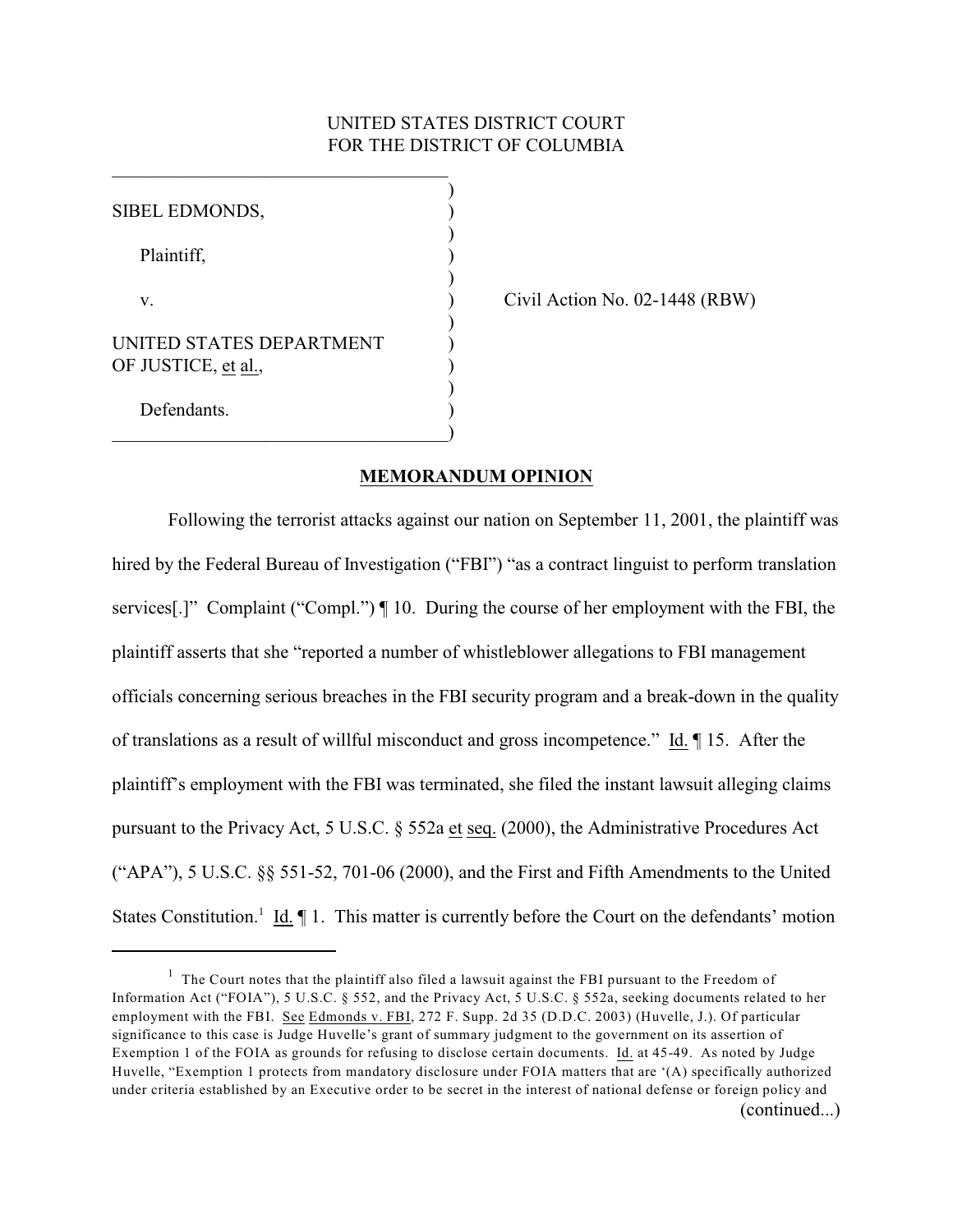# UNITED STATES DISTRICT COURT FOR THE DISTRICT OF COLUMBIA

| SIBEL EDMONDS,                                  |  |
|-------------------------------------------------|--|
| Plaintiff,                                      |  |
| V.                                              |  |
| UNITED STATES DEPARTMENT<br>OF JUSTICE, et al., |  |
| Defendants.                                     |  |

\_\_\_\_\_\_\_\_\_\_\_\_\_\_\_\_\_\_\_\_\_\_\_\_\_\_\_\_\_\_\_\_\_\_\_\_

Civil Action No.  $02-1448$  (RBW)

#### **MEMORANDUM OPINION**

Following the terrorist attacks against our nation on September 11, 2001, the plaintiff was hired by the Federal Bureau of Investigation ("FBI") "as a contract linguist to perform translation services[.]" Complaint ("Compl.") ¶ 10. During the course of her employment with the FBI, the plaintiff asserts that she "reported a number of whistleblower allegations to FBI management officials concerning serious breaches in the FBI security program and a break-down in the quality of translations as a result of willful misconduct and gross incompetence." Id. ¶ 15. After the plaintiff's employment with the FBI was terminated, she filed the instant lawsuit alleging claims pursuant to the Privacy Act, 5 U.S.C. § 552a et seq. (2000), the Administrative Procedures Act ("APA"), 5 U.S.C. §§ 551-52, 701-06 (2000), and the First and Fifth Amendments to the United States Constitution.<sup>1</sup> Id.  $\P$  1. This matter is currently before the Court on the defendants' motion

 $1$  The Court notes that the plaintiff also filed a lawsuit against the FBI pursuant to the Freedom of Information Act ("FOIA"), 5 U.S.C. § 552, and the Privacy Act, 5 U.S.C. § 552a, seeking documents related to her employment with the FBI. See Edmonds v. FBI, 272 F. Supp. 2d 35 (D.D.C. 2003) (Huvelle, J.). Of particular significance to this case is Judge Huvelle's grant of summary judgment to the government on its assertion of Exemption 1 of the FOIA as grounds for refusing to disclose certain documents. Id. at 45-49. As noted by Judge Huvelle, "Exemption 1 protects from mandatory disclosure under FOIA matters that are '(A) specifically authorized under criteria established by an Executive order to be secret in the interest of national defense or foreign policy and (continued...)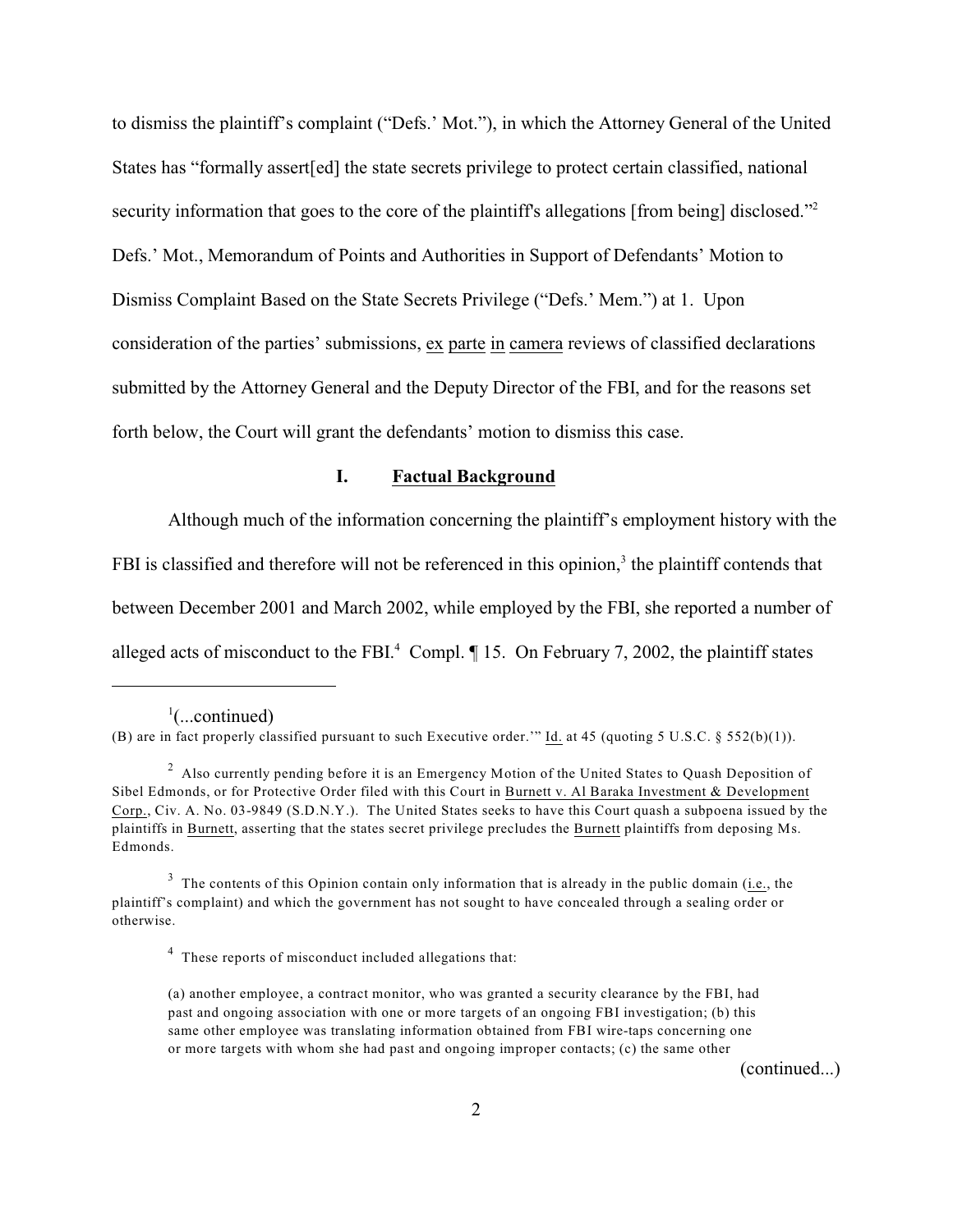to dismiss the plaintiff's complaint ("Defs.' Mot."), in which the Attorney General of the United States has "formally assert[ed] the state secrets privilege to protect certain classified, national security information that goes to the core of the plaintiff's allegations [from being] disclosed."<sup>2</sup> Defs.' Mot., Memorandum of Points and Authorities in Support of Defendants' Motion to Dismiss Complaint Based on the State Secrets Privilege ("Defs.' Mem.") at 1. Upon consideration of the parties' submissions, ex parte in camera reviews of classified declarations submitted by the Attorney General and the Deputy Director of the FBI, and for the reasons set forth below, the Court will grant the defendants' motion to dismiss this case.

## **I. Factual Background**

Although much of the information concerning the plaintiff's employment history with the FBI is classified and therefore will not be referenced in this opinion,<sup>3</sup> the plaintiff contends that between December 2001 and March 2002, while employed by the FBI, she reported a number of alleged acts of misconduct to the FBI. $^4$  Compl.  $\P$  15. On February 7, 2002, the plaintiff states

(continued...)

 $\cdot$ ...continued)

<sup>(</sup>B) are in fact properly classified pursuant to such Executive order.'" Id. at 45 (quoting 5 U.S.C. § 552(b)(1)).

<sup>&</sup>lt;sup>2</sup> Also currently pending before it is an Emergency Motion of the United States to Quash Deposition of Sibel Edmonds, or for Protective Order filed with this Court in Burnett v. Al Baraka Investment & Development Corp., Civ. A. No. 03-9849 (S.D.N.Y.). The United States seeks to have this Court quash a subpoena issued by the plaintiffs in Burnett, asserting that the states secret privilege precludes the Burnett plaintiffs from deposing Ms. Edmonds.

 $3$  The contents of this Opinion contain only information that is already in the public domain (i.e., the plaintiff's complaint) and which the government has not sought to have concealed through a sealing order or otherwise.

<sup>&</sup>lt;sup>4</sup> These reports of misconduct included allegations that:

<sup>(</sup>a) another employee, a contract monitor, who was granted a security clearance by the FBI, had past and ongoing association with one or more targets of an ongoing FBI investigation; (b) this same other employee was translating information obtained from FBI wire-taps concerning one or more targets with whom she had past and ongoing improper contacts; (c) the same other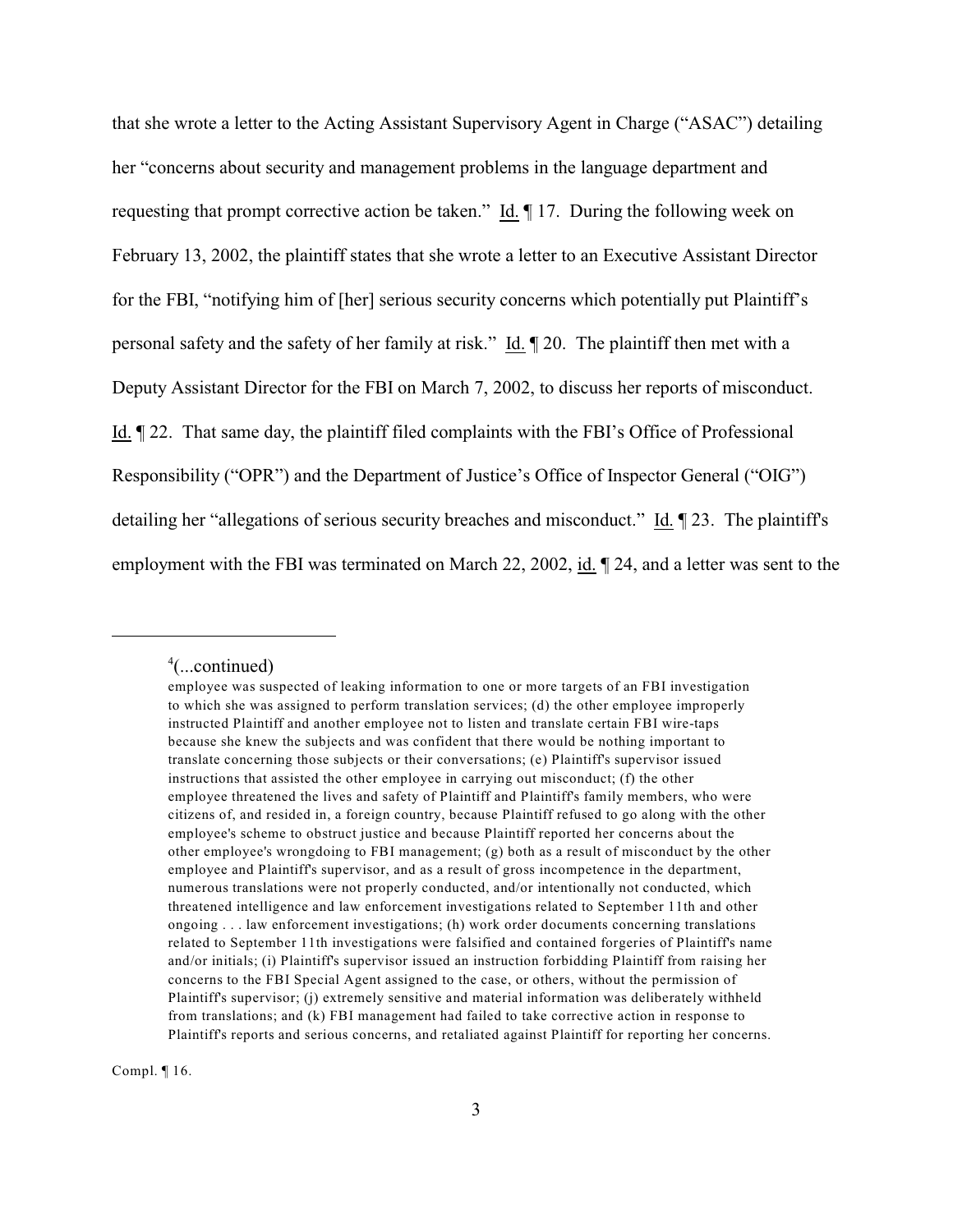that she wrote a letter to the Acting Assistant Supervisory Agent in Charge ("ASAC") detailing her "concerns about security and management problems in the language department and requesting that prompt corrective action be taken." Id. ¶ 17. During the following week on February 13, 2002, the plaintiff states that she wrote a letter to an Executive Assistant Director for the FBI, "notifying him of [her] serious security concerns which potentially put Plaintiff's personal safety and the safety of her family at risk." Id. ¶ 20. The plaintiff then met with a Deputy Assistant Director for the FBI on March 7, 2002, to discuss her reports of misconduct. Id. ¶ 22. That same day, the plaintiff filed complaints with the FBI's Office of Professional Responsibility ("OPR") and the Department of Justice's Office of Inspector General ("OIG") detailing her "allegations of serious security breaches and misconduct." Id. ¶ 23. The plaintiff's employment with the FBI was terminated on March 22, 2002, id. ¶ 24, and a letter was sent to the

Compl. ¶ 16.

 $4$ (...continued)

employee was suspected of leaking information to one or more targets of an FBI investigation to which she was assigned to perform translation services; (d) the other employee improperly instructed Plaintiff and another employee not to listen and translate certain FBI wire-taps because she knew the subjects and was confident that there would be nothing important to translate concerning those subjects or their conversations; (e) Plaintiff's supervisor issued instructions that assisted the other employee in carrying out misconduct; (f) the other employee threatened the lives and safety of Plaintiff and Plaintiff's family members, who were citizens of, and resided in, a foreign country, because Plaintiff refused to go along with the other employee's scheme to obstruct justice and because Plaintiff reported her concerns about the other employee's wrongdoing to FBI management; (g) both as a result of misconduct by the other employee and Plaintiff's supervisor, and as a result of gross incompetence in the department, numerous translations were not properly conducted, and/or intentionally not conducted, which threatened intelligence and law enforcement investigations related to September 11th and other ongoing . . . law enforcement investigations; (h) work order documents concerning translations related to September 11th investigations were falsified and contained forgeries of Plaintiff's name and/or initials; (i) Plaintiff's supervisor issued an instruction forbidding Plaintiff from raising her concerns to the FBI Special Agent assigned to the case, or others, without the permission of Plaintiff's supervisor; (j) extremely sensitive and material information was deliberately withheld from translations; and (k) FBI management had failed to take corrective action in response to Plaintiff's reports and serious concerns, and retaliated against Plaintiff for reporting her concerns.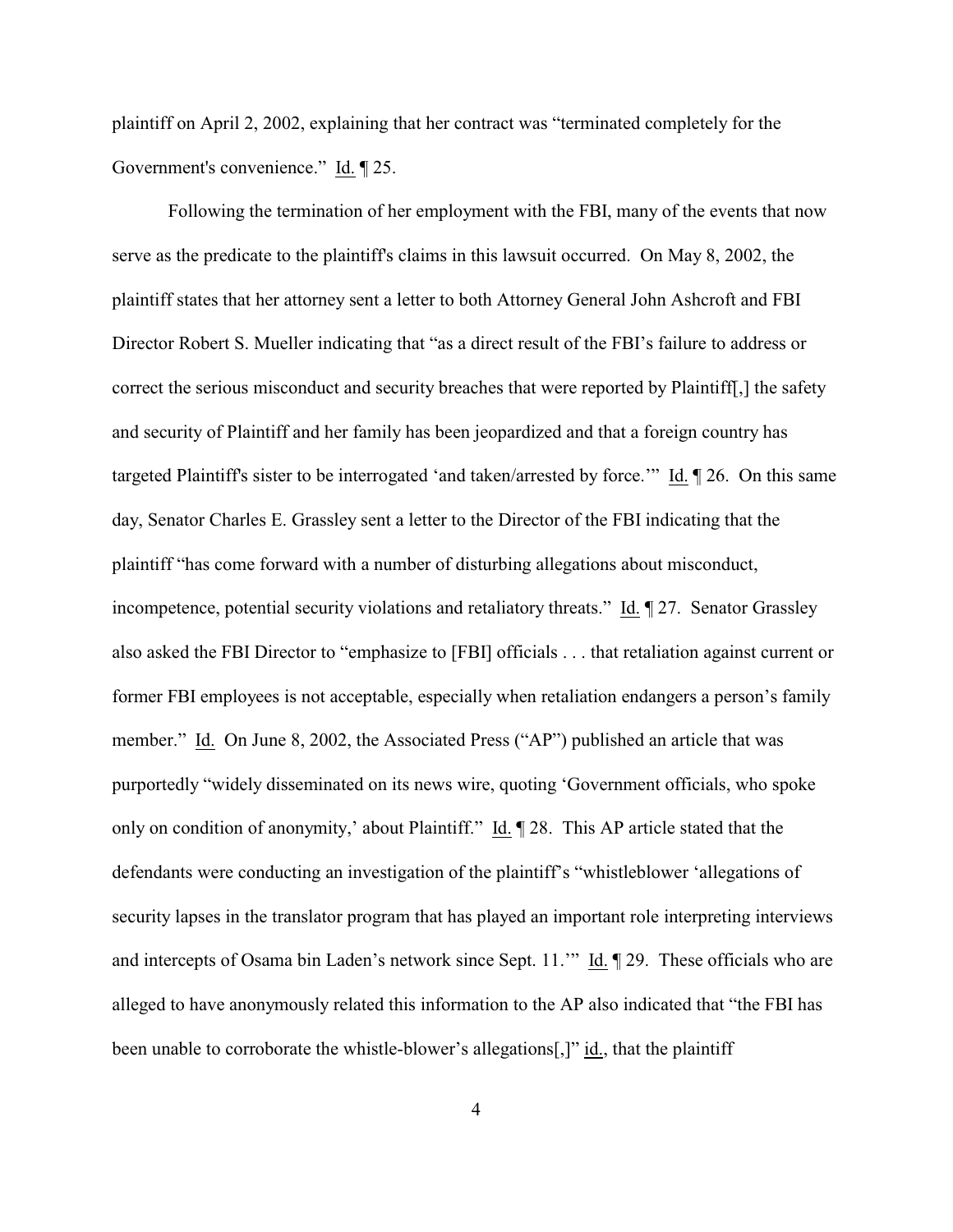plaintiff on April 2, 2002, explaining that her contract was "terminated completely for the Government's convenience." Id. ¶ 25.

Following the termination of her employment with the FBI, many of the events that now serve as the predicate to the plaintiff's claims in this lawsuit occurred. On May 8, 2002, the plaintiff states that her attorney sent a letter to both Attorney General John Ashcroft and FBI Director Robert S. Mueller indicating that "as a direct result of the FBI's failure to address or correct the serious misconduct and security breaches that were reported by Plaintiff[,] the safety and security of Plaintiff and her family has been jeopardized and that a foreign country has targeted Plaintiff's sister to be interrogated 'and taken/arrested by force.'" Id. ¶ 26. On this same day, Senator Charles E. Grassley sent a letter to the Director of the FBI indicating that the plaintiff "has come forward with a number of disturbing allegations about misconduct, incompetence, potential security violations and retaliatory threats." Id. ¶ 27. Senator Grassley also asked the FBI Director to "emphasize to [FBI] officials . . . that retaliation against current or former FBI employees is not acceptable, especially when retaliation endangers a person's family member." Id. On June 8, 2002, the Associated Press ("AP") published an article that was purportedly "widely disseminated on its news wire, quoting 'Government officials, who spoke only on condition of anonymity,' about Plaintiff." Id. ¶ 28. This AP article stated that the defendants were conducting an investigation of the plaintiff's "whistleblower 'allegations of security lapses in the translator program that has played an important role interpreting interviews and intercepts of Osama bin Laden's network since Sept. 11." Id. [29. These officials who are alleged to have anonymously related this information to the AP also indicated that "the FBI has been unable to corroborate the whistle-blower's allegations[,]" id., that the plaintiff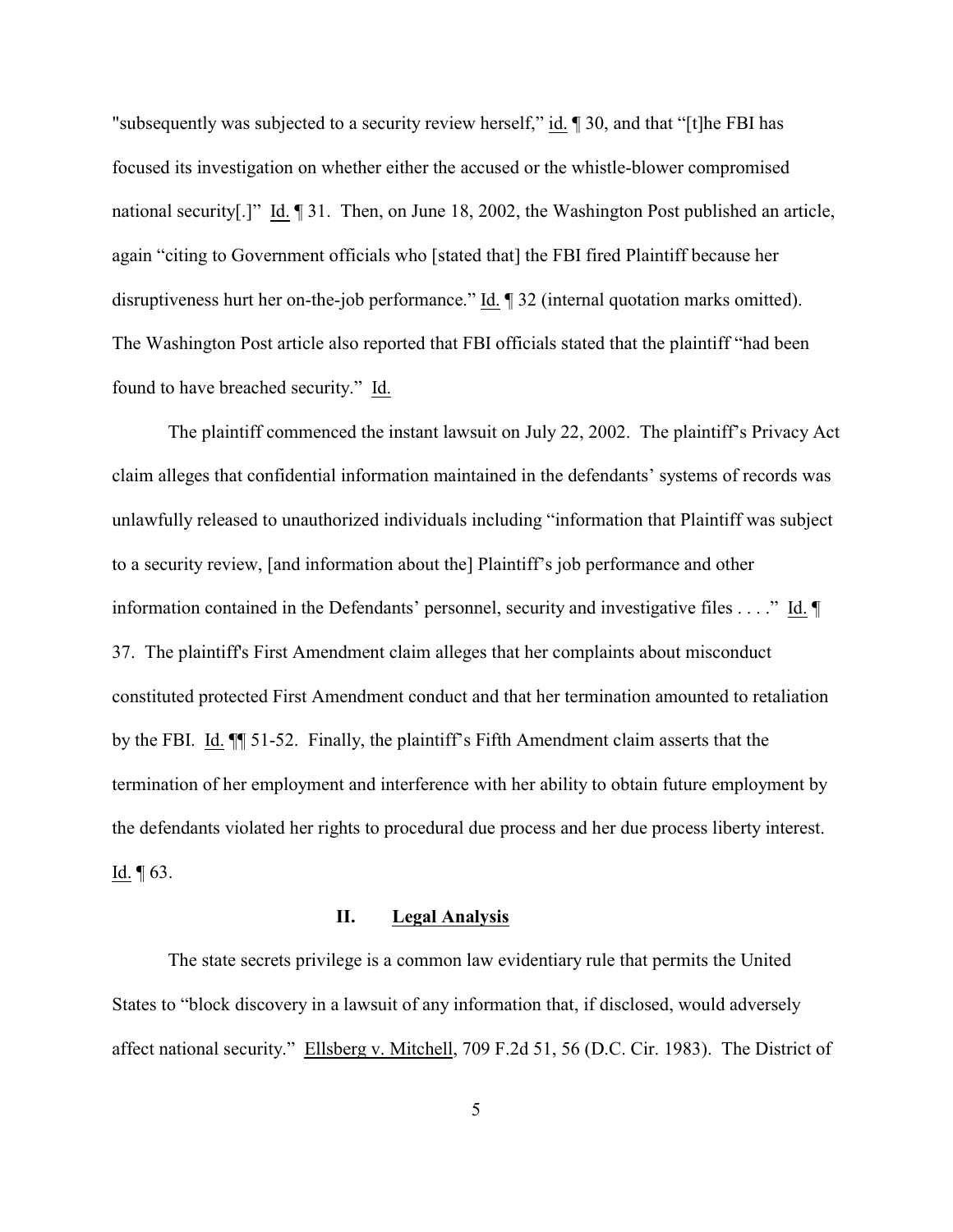"subsequently was subjected to a security review herself," id. ¶ 30, and that "[t]he FBI has focused its investigation on whether either the accused or the whistle-blower compromised national security[.]" Id. ¶ 31. Then, on June 18, 2002, the Washington Post published an article, again "citing to Government officials who [stated that] the FBI fired Plaintiff because her disruptiveness hurt her on-the-job performance." Id. ¶ 32 (internal quotation marks omitted). The Washington Post article also reported that FBI officials stated that the plaintiff "had been found to have breached security." Id.

The plaintiff commenced the instant lawsuit on July 22, 2002. The plaintiff's Privacy Act claim alleges that confidential information maintained in the defendants' systems of records was unlawfully released to unauthorized individuals including "information that Plaintiff was subject to a security review, [and information about the] Plaintiff's job performance and other information contained in the Defendants' personnel, security and investigative files . . . ." Id. ¶ 37. The plaintiff's First Amendment claim alleges that her complaints about misconduct constituted protected First Amendment conduct and that her termination amounted to retaliation by the FBI. Id. ¶¶ 51-52. Finally, the plaintiff's Fifth Amendment claim asserts that the termination of her employment and interference with her ability to obtain future employment by the defendants violated her rights to procedural due process and her due process liberty interest. Id. ¶ 63.

## **II. Legal Analysis**

The state secrets privilege is a common law evidentiary rule that permits the United States to "block discovery in a lawsuit of any information that, if disclosed, would adversely affect national security." Ellsberg v. Mitchell, 709 F.2d 51, 56 (D.C. Cir. 1983). The District of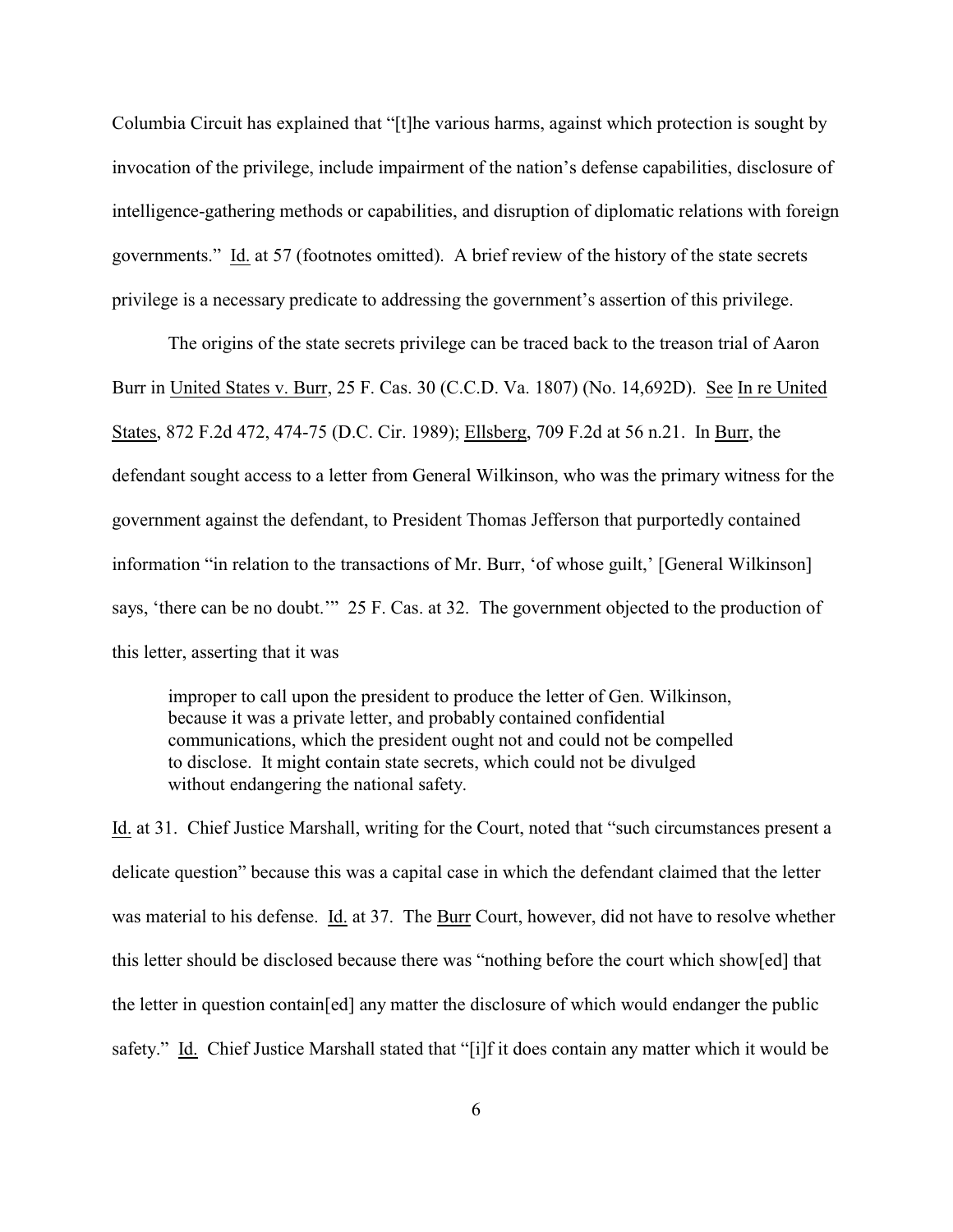Columbia Circuit has explained that "[t]he various harms, against which protection is sought by invocation of the privilege, include impairment of the nation's defense capabilities, disclosure of intelligence-gathering methods or capabilities, and disruption of diplomatic relations with foreign governments." Id. at 57 (footnotes omitted). A brief review of the history of the state secrets privilege is a necessary predicate to addressing the government's assertion of this privilege.

The origins of the state secrets privilege can be traced back to the treason trial of Aaron Burr in United States v. Burr, 25 F. Cas. 30 (C.C.D. Va. 1807) (No. 14,692D). See In re United States, 872 F.2d 472, 474-75 (D.C. Cir. 1989); Ellsberg, 709 F.2d at 56 n.21. In Burr, the defendant sought access to a letter from General Wilkinson, who was the primary witness for the government against the defendant, to President Thomas Jefferson that purportedly contained information "in relation to the transactions of Mr. Burr, 'of whose guilt,' [General Wilkinson] says, 'there can be no doubt.'" 25 F. Cas. at 32. The government objected to the production of this letter, asserting that it was

improper to call upon the president to produce the letter of Gen. Wilkinson, because it was a private letter, and probably contained confidential communications, which the president ought not and could not be compelled to disclose. It might contain state secrets, which could not be divulged without endangering the national safety.

Id. at 31. Chief Justice Marshall, writing for the Court, noted that "such circumstances present a delicate question" because this was a capital case in which the defendant claimed that the letter was material to his defense. Id. at 37. The Burr Court, however, did not have to resolve whether this letter should be disclosed because there was "nothing before the court which show[ed] that the letter in question contain[ed] any matter the disclosure of which would endanger the public safety." Id. Chief Justice Marshall stated that "[i]f it does contain any matter which it would be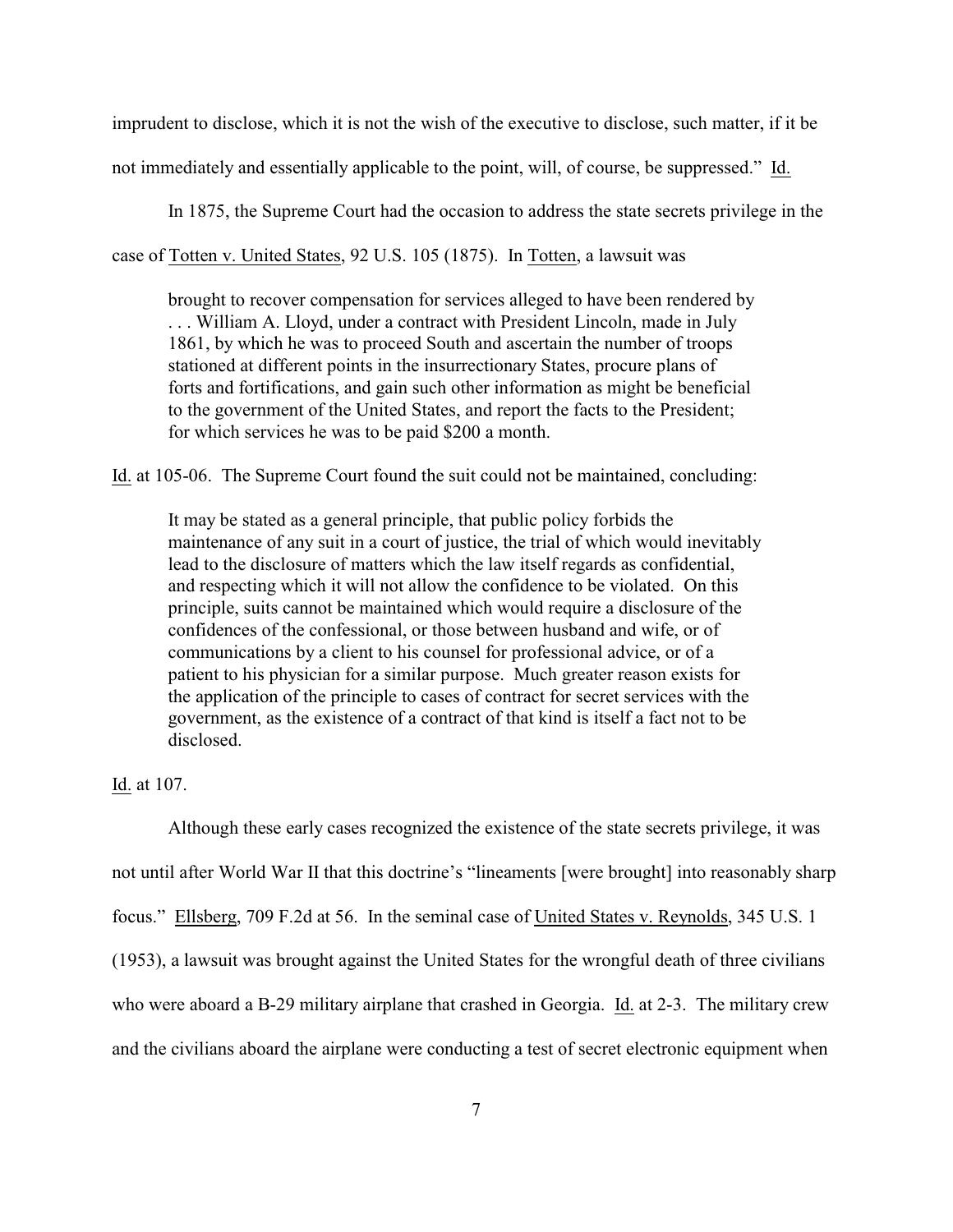imprudent to disclose, which it is not the wish of the executive to disclose, such matter, if it be not immediately and essentially applicable to the point, will, of course, be suppressed." Id.

In 1875, the Supreme Court had the occasion to address the state secrets privilege in the

case of Totten v. United States, 92 U.S. 105 (1875). In Totten, a lawsuit was

brought to recover compensation for services alleged to have been rendered by . . . William A. Lloyd, under a contract with President Lincoln, made in July 1861, by which he was to proceed South and ascertain the number of troops stationed at different points in the insurrectionary States, procure plans of forts and fortifications, and gain such other information as might be beneficial to the government of the United States, and report the facts to the President; for which services he was to be paid \$200 a month.

Id. at 105-06. The Supreme Court found the suit could not be maintained, concluding:

It may be stated as a general principle, that public policy forbids the maintenance of any suit in a court of justice, the trial of which would inevitably lead to the disclosure of matters which the law itself regards as confidential, and respecting which it will not allow the confidence to be violated. On this principle, suits cannot be maintained which would require a disclosure of the confidences of the confessional, or those between husband and wife, or of communications by a client to his counsel for professional advice, or of a patient to his physician for a similar purpose. Much greater reason exists for the application of the principle to cases of contract for secret services with the government, as the existence of a contract of that kind is itself a fact not to be disclosed.

### Id. at 107.

Although these early cases recognized the existence of the state secrets privilege, it was not until after World War II that this doctrine's "lineaments [were brought] into reasonably sharp focus." Ellsberg, 709 F.2d at 56. In the seminal case of United States v. Reynolds, 345 U.S. 1 (1953), a lawsuit was brought against the United States for the wrongful death of three civilians who were aboard a B-29 military airplane that crashed in Georgia. Id. at 2-3. The military crew and the civilians aboard the airplane were conducting a test of secret electronic equipment when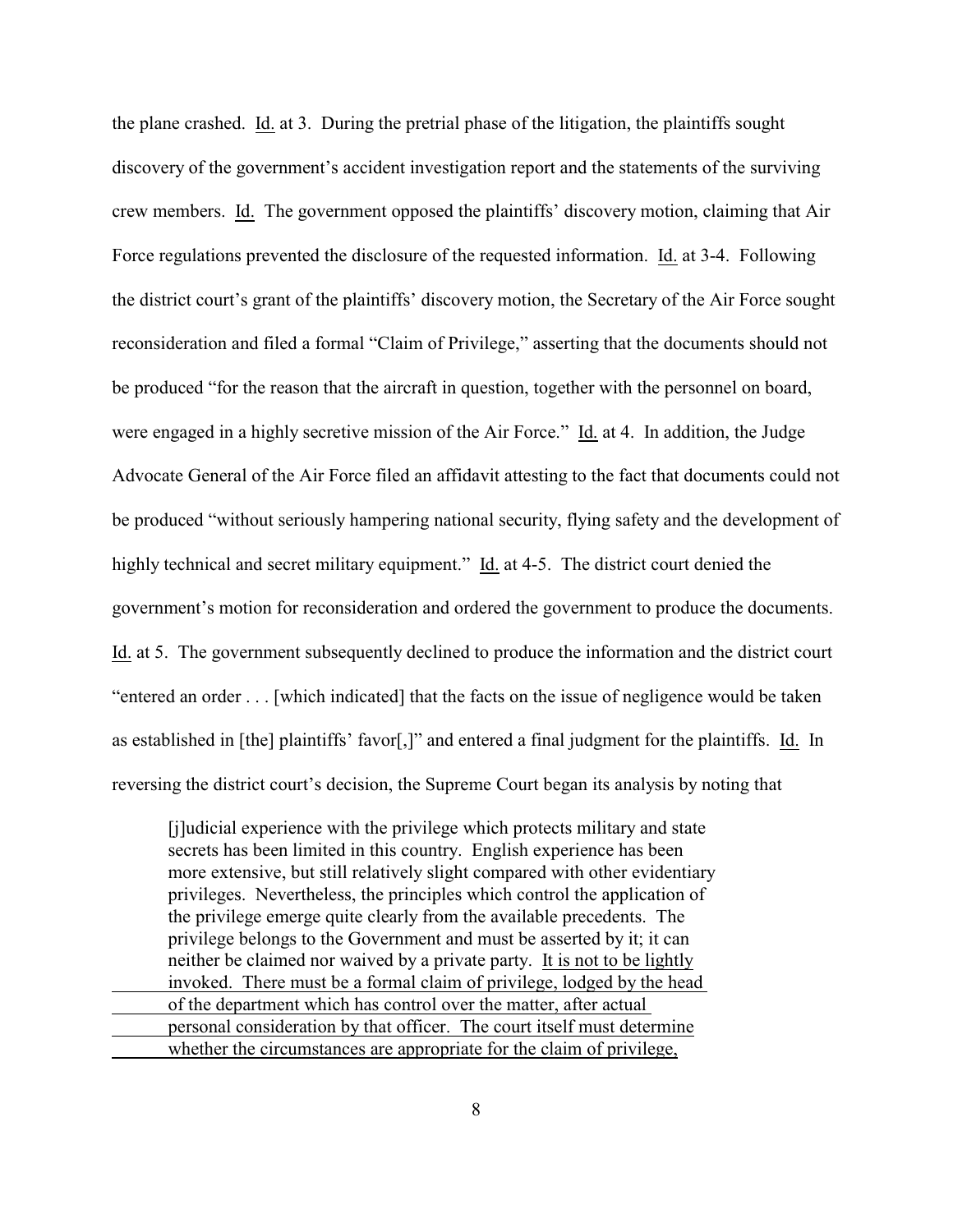the plane crashed. Id. at 3. During the pretrial phase of the litigation, the plaintiffs sought discovery of the government's accident investigation report and the statements of the surviving crew members. Id. The government opposed the plaintiffs' discovery motion, claiming that Air Force regulations prevented the disclosure of the requested information. Id. at 3-4. Following the district court's grant of the plaintiffs' discovery motion, the Secretary of the Air Force sought reconsideration and filed a formal "Claim of Privilege," asserting that the documents should not be produced "for the reason that the aircraft in question, together with the personnel on board, were engaged in a highly secretive mission of the Air Force." Id. at 4. In addition, the Judge Advocate General of the Air Force filed an affidavit attesting to the fact that documents could not be produced "without seriously hampering national security, flying safety and the development of highly technical and secret military equipment." Id. at 4-5. The district court denied the government's motion for reconsideration and ordered the government to produce the documents. Id. at 5. The government subsequently declined to produce the information and the district court "entered an order . . . [which indicated] that the facts on the issue of negligence would be taken as established in [the] plaintiffs' favor[,]" and entered a final judgment for the plaintiffs. Id. In reversing the district court's decision, the Supreme Court began its analysis by noting that

[j]udicial experience with the privilege which protects military and state secrets has been limited in this country. English experience has been more extensive, but still relatively slight compared with other evidentiary privileges. Nevertheless, the principles which control the application of the privilege emerge quite clearly from the available precedents. The privilege belongs to the Government and must be asserted by it; it can neither be claimed nor waived by a private party. It is not to be lightly invoked. There must be a formal claim of privilege, lodged by the head of the department which has control over the matter, after actual personal consideration by that officer. The court itself must determine whether the circumstances are appropriate for the claim of privilege,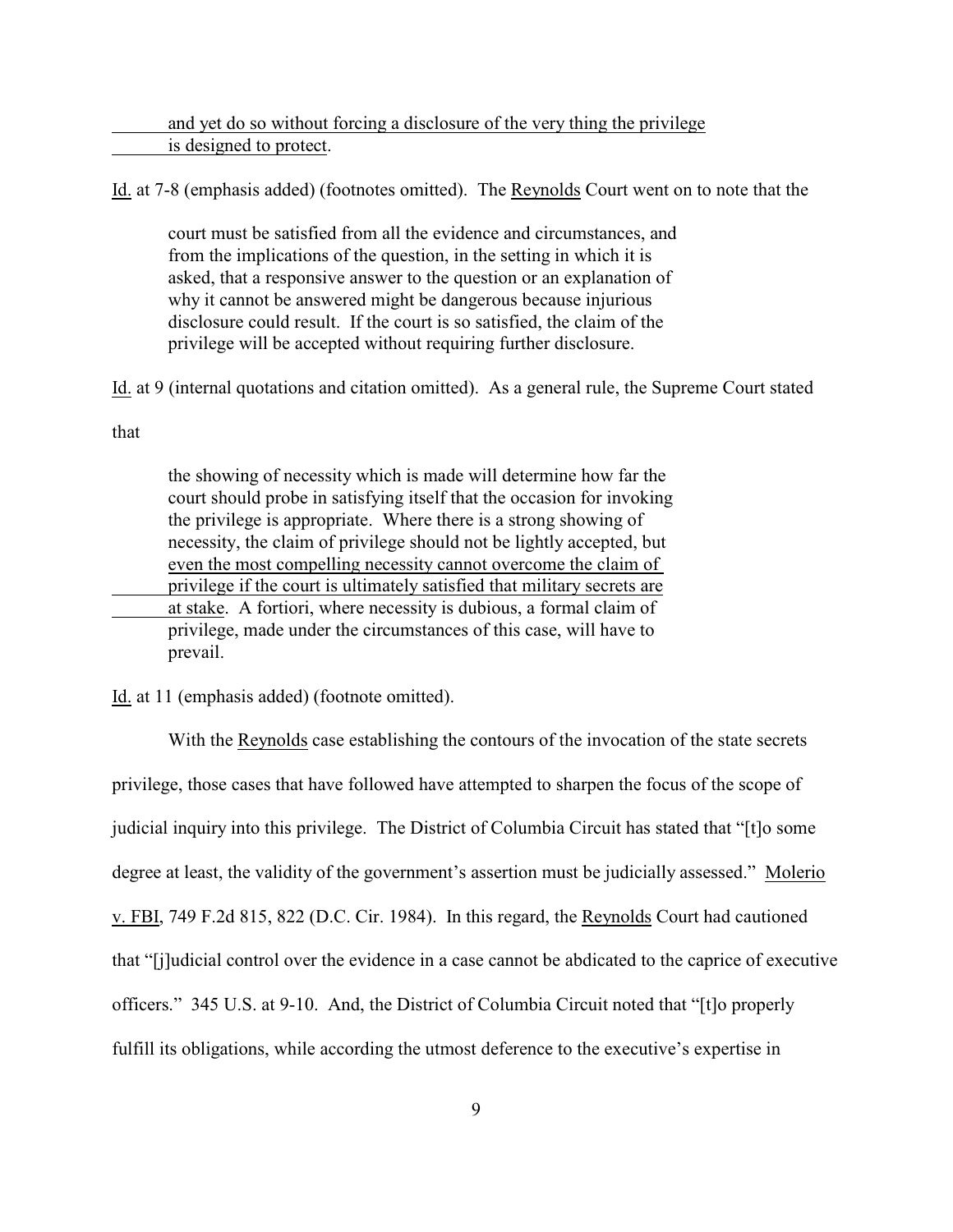and yet do so without forcing a disclosure of the very thing the privilege is designed to protect.

Id. at 7-8 (emphasis added) (footnotes omitted). The Reynolds Court went on to note that the

court must be satisfied from all the evidence and circumstances, and from the implications of the question, in the setting in which it is asked, that a responsive answer to the question or an explanation of why it cannot be answered might be dangerous because injurious disclosure could result. If the court is so satisfied, the claim of the privilege will be accepted without requiring further disclosure.

Id. at 9 (internal quotations and citation omitted). As a general rule, the Supreme Court stated

that

the showing of necessity which is made will determine how far the court should probe in satisfying itself that the occasion for invoking the privilege is appropriate. Where there is a strong showing of necessity, the claim of privilege should not be lightly accepted, but even the most compelling necessity cannot overcome the claim of privilege if the court is ultimately satisfied that military secrets are at stake. A fortiori, where necessity is dubious, a formal claim of privilege, made under the circumstances of this case, will have to prevail.

Id. at 11 (emphasis added) (footnote omitted).

With the Reynolds case establishing the contours of the invocation of the state secrets privilege, those cases that have followed have attempted to sharpen the focus of the scope of judicial inquiry into this privilege. The District of Columbia Circuit has stated that "[t]o some degree at least, the validity of the government's assertion must be judicially assessed." Molerio v. FBI, 749 F.2d 815, 822 (D.C. Cir. 1984). In this regard, the Reynolds Court had cautioned that "[j]udicial control over the evidence in a case cannot be abdicated to the caprice of executive officers." 345 U.S. at 9-10. And, the District of Columbia Circuit noted that "[t]o properly fulfill its obligations, while according the utmost deference to the executive's expertise in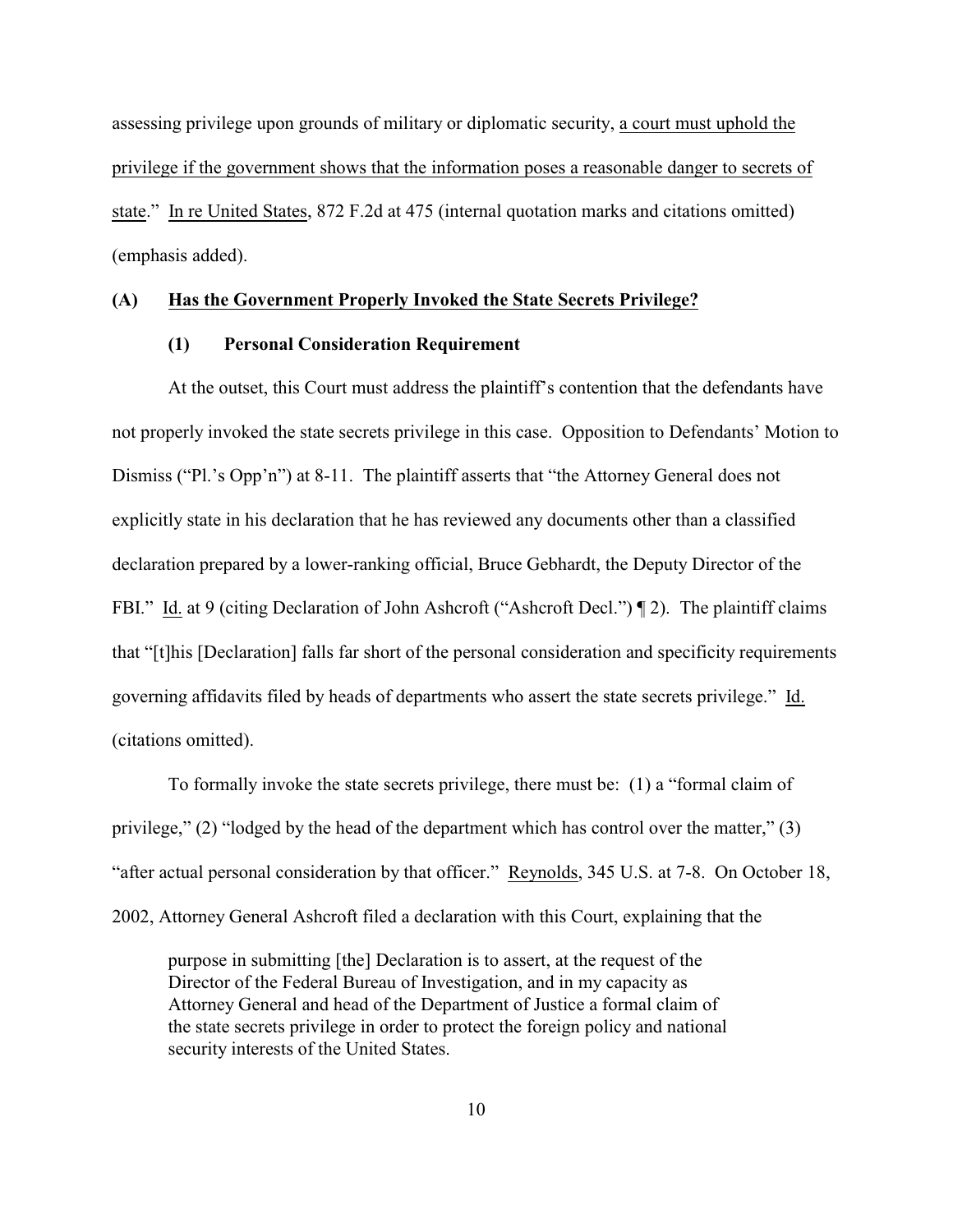assessing privilege upon grounds of military or diplomatic security, a court must uphold the privilege if the government shows that the information poses a reasonable danger to secrets of state." In re United States, 872 F.2d at 475 (internal quotation marks and citations omitted) (emphasis added).

## **(A) Has the Government Properly Invoked the State Secrets Privilege?**

## **(1) Personal Consideration Requirement**

At the outset, this Court must address the plaintiff's contention that the defendants have not properly invoked the state secrets privilege in this case. Opposition to Defendants' Motion to Dismiss ("Pl.'s Opp'n") at 8-11. The plaintiff asserts that "the Attorney General does not explicitly state in his declaration that he has reviewed any documents other than a classified declaration prepared by a lower-ranking official, Bruce Gebhardt, the Deputy Director of the FBI." Id. at 9 (citing Declaration of John Ashcroft ("Ashcroft Decl.") [2]. The plaintiff claims that "[t]his [Declaration] falls far short of the personal consideration and specificity requirements governing affidavits filed by heads of departments who assert the state secrets privilege." Id. (citations omitted).

To formally invoke the state secrets privilege, there must be: (1) a "formal claim of privilege," (2) "lodged by the head of the department which has control over the matter," (3) "after actual personal consideration by that officer." Reynolds, 345 U.S. at 7-8. On October 18, 2002, Attorney General Ashcroft filed a declaration with this Court, explaining that the

purpose in submitting [the] Declaration is to assert, at the request of the Director of the Federal Bureau of Investigation, and in my capacity as Attorney General and head of the Department of Justice a formal claim of the state secrets privilege in order to protect the foreign policy and national security interests of the United States.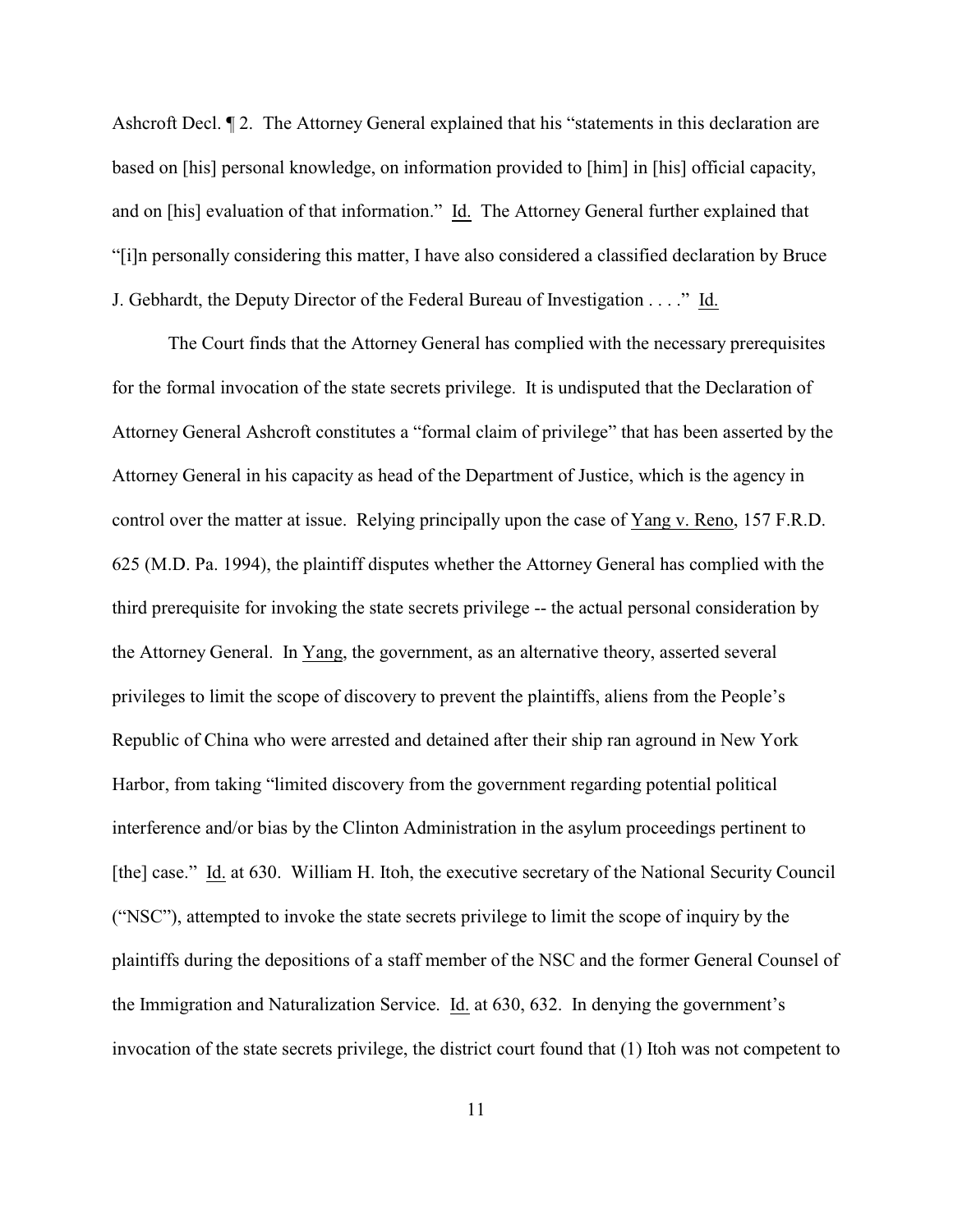Ashcroft Decl.  $\P$  2. The Attorney General explained that his "statements in this declaration are based on [his] personal knowledge, on information provided to [him] in [his] official capacity, and on [his] evaluation of that information." Id. The Attorney General further explained that "[i]n personally considering this matter, I have also considered a classified declaration by Bruce J. Gebhardt, the Deputy Director of the Federal Bureau of Investigation . . . ." Id.

The Court finds that the Attorney General has complied with the necessary prerequisites for the formal invocation of the state secrets privilege. It is undisputed that the Declaration of Attorney General Ashcroft constitutes a "formal claim of privilege" that has been asserted by the Attorney General in his capacity as head of the Department of Justice, which is the agency in control over the matter at issue. Relying principally upon the case of Yang v. Reno, 157 F.R.D. 625 (M.D. Pa. 1994), the plaintiff disputes whether the Attorney General has complied with the third prerequisite for invoking the state secrets privilege -- the actual personal consideration by the Attorney General. In Yang, the government, as an alternative theory, asserted several privileges to limit the scope of discovery to prevent the plaintiffs, aliens from the People's Republic of China who were arrested and detained after their ship ran aground in New York Harbor, from taking "limited discovery from the government regarding potential political interference and/or bias by the Clinton Administration in the asylum proceedings pertinent to [the] case." Id. at 630. William H. Itoh, the executive secretary of the National Security Council ("NSC"), attempted to invoke the state secrets privilege to limit the scope of inquiry by the plaintiffs during the depositions of a staff member of the NSC and the former General Counsel of the Immigration and Naturalization Service. Id. at 630, 632. In denying the government's invocation of the state secrets privilege, the district court found that (1) Itoh was not competent to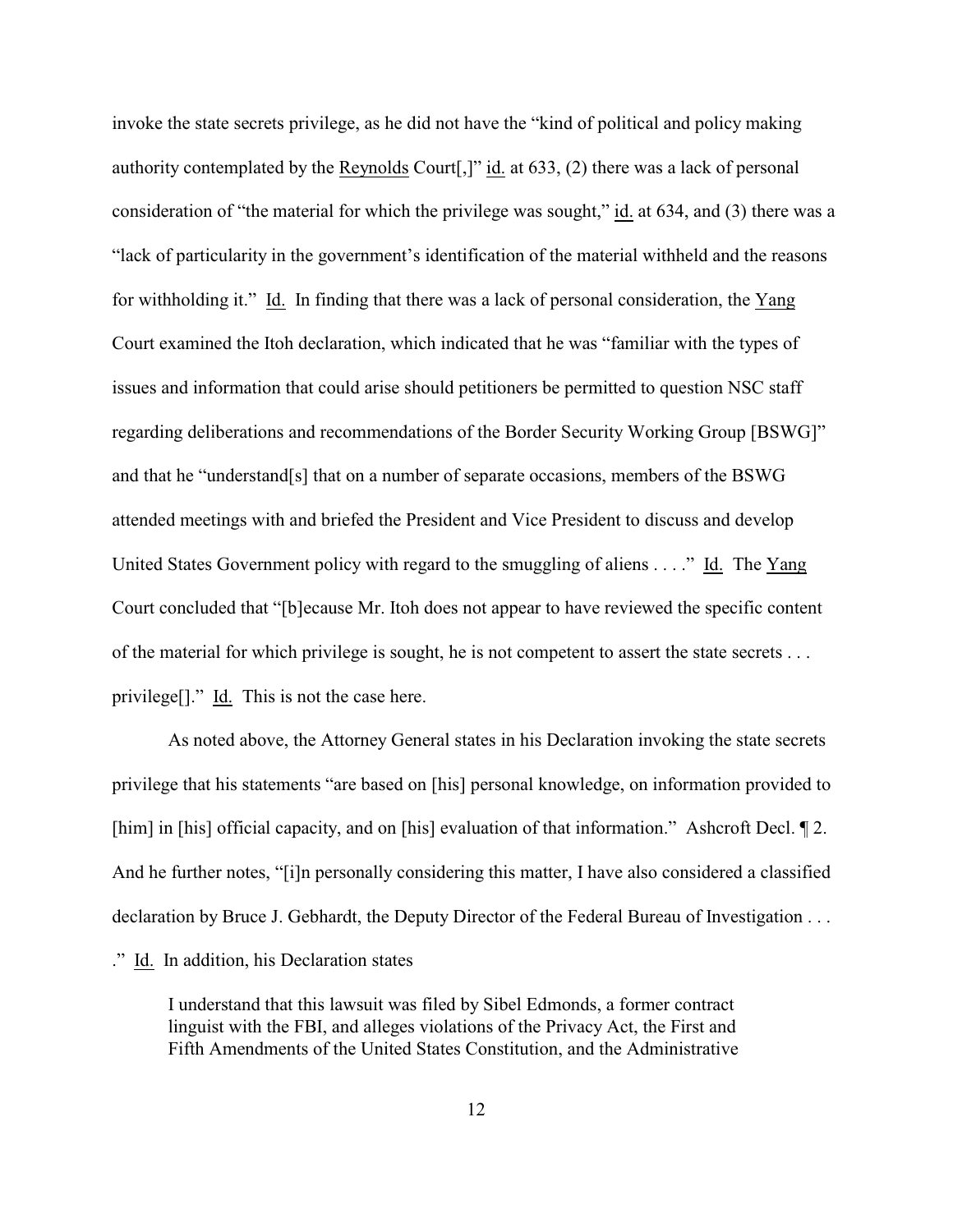invoke the state secrets privilege, as he did not have the "kind of political and policy making authority contemplated by the Reynolds Court[,]" id. at 633, (2) there was a lack of personal consideration of "the material for which the privilege was sought," id. at 634, and (3) there was a "lack of particularity in the government's identification of the material withheld and the reasons for withholding it." Id. In finding that there was a lack of personal consideration, the Yang Court examined the Itoh declaration, which indicated that he was "familiar with the types of issues and information that could arise should petitioners be permitted to question NSC staff regarding deliberations and recommendations of the Border Security Working Group [BSWG]" and that he "understand[s] that on a number of separate occasions, members of the BSWG attended meetings with and briefed the President and Vice President to discuss and develop United States Government policy with regard to the smuggling of aliens . . . ." Id. The Yang Court concluded that "[b]ecause Mr. Itoh does not appear to have reviewed the specific content of the material for which privilege is sought, he is not competent to assert the state secrets . . . privilege[]." Id. This is not the case here.

As noted above, the Attorney General states in his Declaration invoking the state secrets privilege that his statements "are based on [his] personal knowledge, on information provided to [him] in [his] official capacity, and on [his] evaluation of that information." Ashcroft Decl. 12. And he further notes, "[i]n personally considering this matter, I have also considered a classified declaration by Bruce J. Gebhardt, the Deputy Director of the Federal Bureau of Investigation . . . ." Id. In addition, his Declaration states

I understand that this lawsuit was filed by Sibel Edmonds, a former contract linguist with the FBI, and alleges violations of the Privacy Act, the First and Fifth Amendments of the United States Constitution, and the Administrative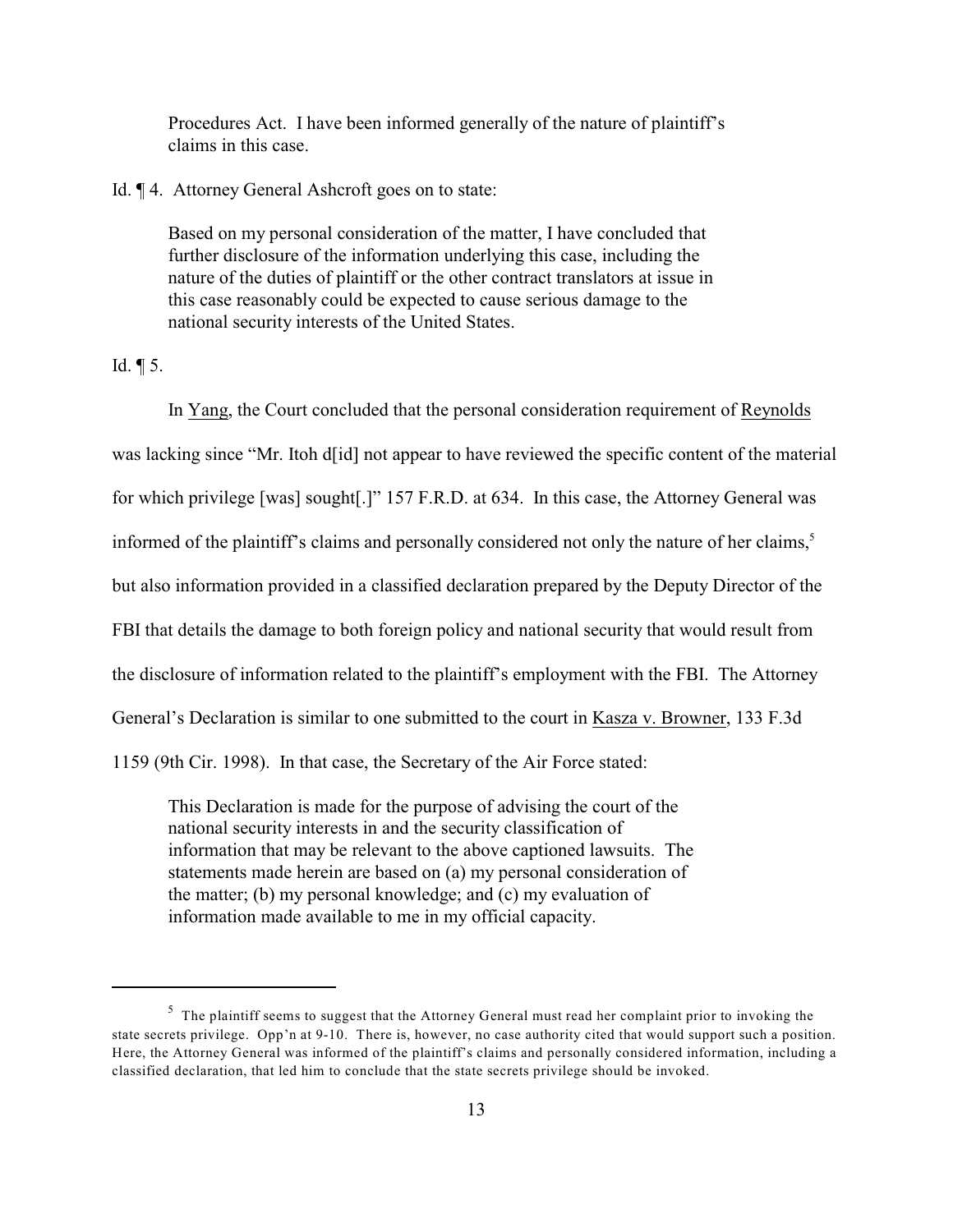Procedures Act. I have been informed generally of the nature of plaintiff's claims in this case.

Id. ¶ 4. Attorney General Ashcroft goes on to state:

Based on my personal consideration of the matter, I have concluded that further disclosure of the information underlying this case, including the nature of the duties of plaintiff or the other contract translators at issue in this case reasonably could be expected to cause serious damage to the national security interests of the United States.

Id. ¶ 5.

In Yang, the Court concluded that the personal consideration requirement of Reynolds was lacking since "Mr. Itoh d[id] not appear to have reviewed the specific content of the material for which privilege [was] sought[.]" 157 F.R.D. at 634. In this case, the Attorney General was informed of the plaintiff's claims and personally considered not only the nature of her claims, 5 but also information provided in a classified declaration prepared by the Deputy Director of the FBI that details the damage to both foreign policy and national security that would result from the disclosure of information related to the plaintiff's employment with the FBI. The Attorney General's Declaration is similar to one submitted to the court in Kasza v. Browner, 133 F.3d 1159 (9th Cir. 1998). In that case, the Secretary of the Air Force stated:

This Declaration is made for the purpose of advising the court of the national security interests in and the security classification of information that may be relevant to the above captioned lawsuits. The statements made herein are based on (a) my personal consideration of the matter; (b) my personal knowledge; and (c) my evaluation of information made available to me in my official capacity.

<sup>&</sup>lt;sup>5</sup> The plaintiff seems to suggest that the Attorney General must read her complaint prior to invoking the state secrets privilege. Opp'n at 9-10. There is, however, no case authority cited that would support such a position. Here, the Attorney General was informed of the plaintiff's claims and personally considered information, including a classified declaration, that led him to conclude that the state secrets privilege should be invoked.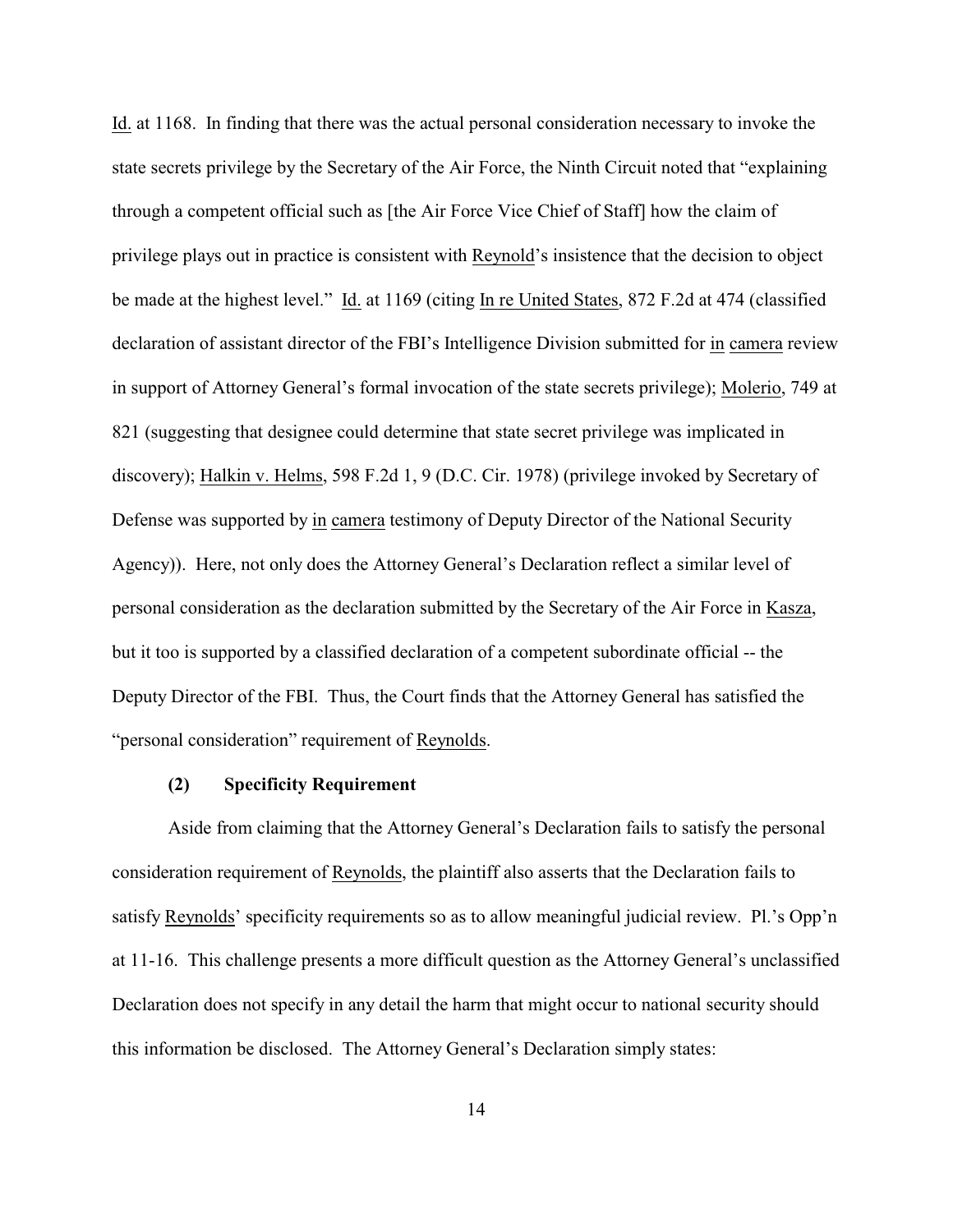Id. at 1168. In finding that there was the actual personal consideration necessary to invoke the state secrets privilege by the Secretary of the Air Force, the Ninth Circuit noted that "explaining through a competent official such as [the Air Force Vice Chief of Staff] how the claim of privilege plays out in practice is consistent with Reynold's insistence that the decision to object be made at the highest level." Id. at 1169 (citing In re United States, 872 F.2d at 474 (classified declaration of assistant director of the FBI's Intelligence Division submitted for in camera review in support of Attorney General's formal invocation of the state secrets privilege); Molerio, 749 at 821 (suggesting that designee could determine that state secret privilege was implicated in discovery); Halkin v. Helms, 598 F.2d 1, 9 (D.C. Cir. 1978) (privilege invoked by Secretary of Defense was supported by in camera testimony of Deputy Director of the National Security Agency)). Here, not only does the Attorney General's Declaration reflect a similar level of personal consideration as the declaration submitted by the Secretary of the Air Force in Kasza, but it too is supported by a classified declaration of a competent subordinate official -- the Deputy Director of the FBI. Thus, the Court finds that the Attorney General has satisfied the "personal consideration" requirement of Reynolds.

## **(2) Specificity Requirement**

Aside from claiming that the Attorney General's Declaration fails to satisfy the personal consideration requirement of Reynolds, the plaintiff also asserts that the Declaration fails to satisfy Reynolds' specificity requirements so as to allow meaningful judicial review. Pl.'s Opp'n at 11-16. This challenge presents a more difficult question as the Attorney General's unclassified Declaration does not specify in any detail the harm that might occur to national security should this information be disclosed. The Attorney General's Declaration simply states: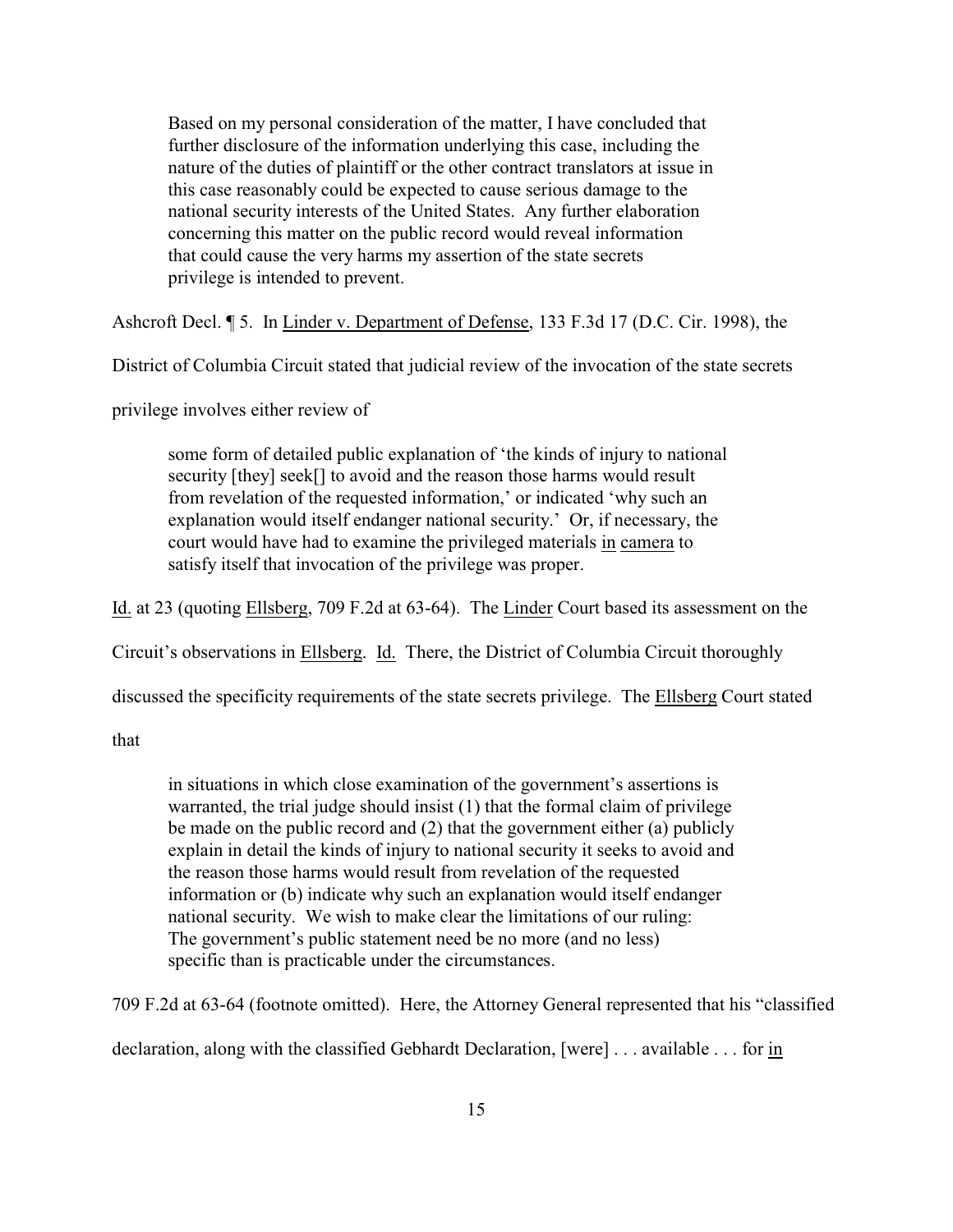Based on my personal consideration of the matter, I have concluded that further disclosure of the information underlying this case, including the nature of the duties of plaintiff or the other contract translators at issue in this case reasonably could be expected to cause serious damage to the national security interests of the United States. Any further elaboration concerning this matter on the public record would reveal information that could cause the very harms my assertion of the state secrets privilege is intended to prevent.

Ashcroft Decl. ¶ 5. In Linder v. Department of Defense, 133 F.3d 17 (D.C. Cir. 1998), the

District of Columbia Circuit stated that judicial review of the invocation of the state secrets

privilege involves either review of

some form of detailed public explanation of 'the kinds of injury to national security [they] seek[] to avoid and the reason those harms would result from revelation of the requested information,' or indicated 'why such an explanation would itself endanger national security.' Or, if necessary, the court would have had to examine the privileged materials in camera to satisfy itself that invocation of the privilege was proper.

Id. at 23 (quoting Ellsberg, 709 F.2d at 63-64). The Linder Court based its assessment on the

Circuit's observations in Ellsberg. Id. There, the District of Columbia Circuit thoroughly

discussed the specificity requirements of the state secrets privilege. The Ellsberg Court stated

that

in situations in which close examination of the government's assertions is warranted, the trial judge should insist (1) that the formal claim of privilege be made on the public record and (2) that the government either (a) publicly explain in detail the kinds of injury to national security it seeks to avoid and the reason those harms would result from revelation of the requested information or (b) indicate why such an explanation would itself endanger national security. We wish to make clear the limitations of our ruling: The government's public statement need be no more (and no less) specific than is practicable under the circumstances.

709 F.2d at 63-64 (footnote omitted). Here, the Attorney General represented that his "classified

declaration, along with the classified Gebhardt Declaration, [were] . . . available . . . for in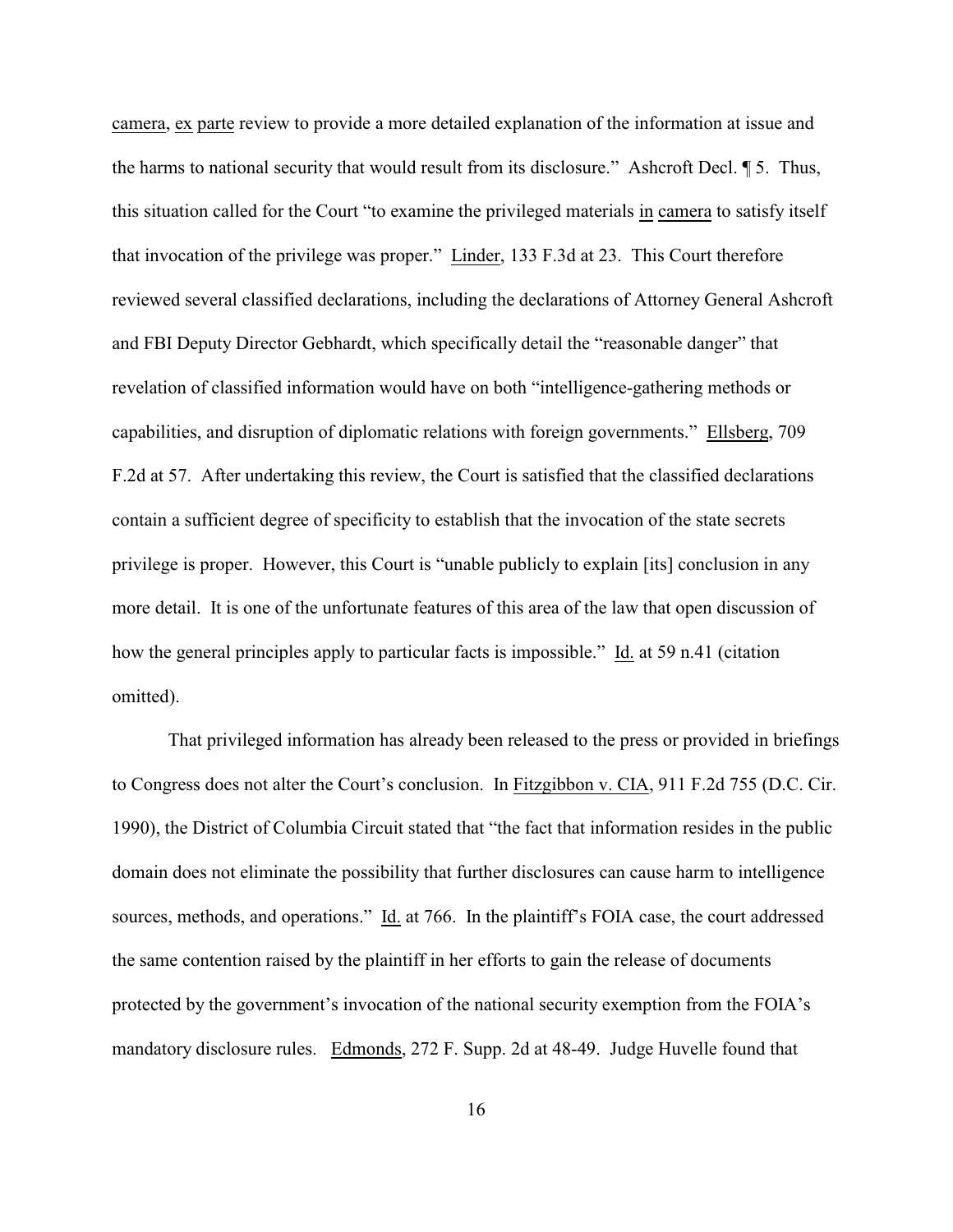camera, ex parte review to provide a more detailed explanation of the information at issue and the harms to national security that would result from its disclosure." Ashcroft Decl. ¶ 5. Thus, this situation called for the Court "to examine the privileged materials in camera to satisfy itself that invocation of the privilege was proper." Linder, 133 F.3d at 23. This Court therefore reviewed several classified declarations, including the declarations of Attorney General Ashcroft and FBI Deputy Director Gebhardt, which specifically detail the "reasonable danger" that revelation of classified information would have on both "intelligence-gathering methods or capabilities, and disruption of diplomatic relations with foreign governments." Ellsberg, 709 F.2d at 57. After undertaking this review, the Court is satisfied that the classified declarations contain a sufficient degree of specificity to establish that the invocation of the state secrets privilege is proper. However, this Court is "unable publicly to explain [its] conclusion in any more detail. It is one of the unfortunate features of this area of the law that open discussion of how the general principles apply to particular facts is impossible." Id. at 59 n.41 (citation omitted).

That privileged information has already been released to the press or provided in briefings to Congress does not alter the Court's conclusion. In Fitzgibbon v. CIA, 911 F.2d 755 (D.C. Cir. 1990), the District of Columbia Circuit stated that "the fact that information resides in the public domain does not eliminate the possibility that further disclosures can cause harm to intelligence sources, methods, and operations." Id. at 766. In the plaintiff's FOIA case, the court addressed the same contention raised by the plaintiff in her efforts to gain the release of documents protected by the government's invocation of the national security exemption from the FOIA's mandatory disclosure rules. Edmonds, 272 F. Supp. 2d at 48-49. Judge Huvelle found that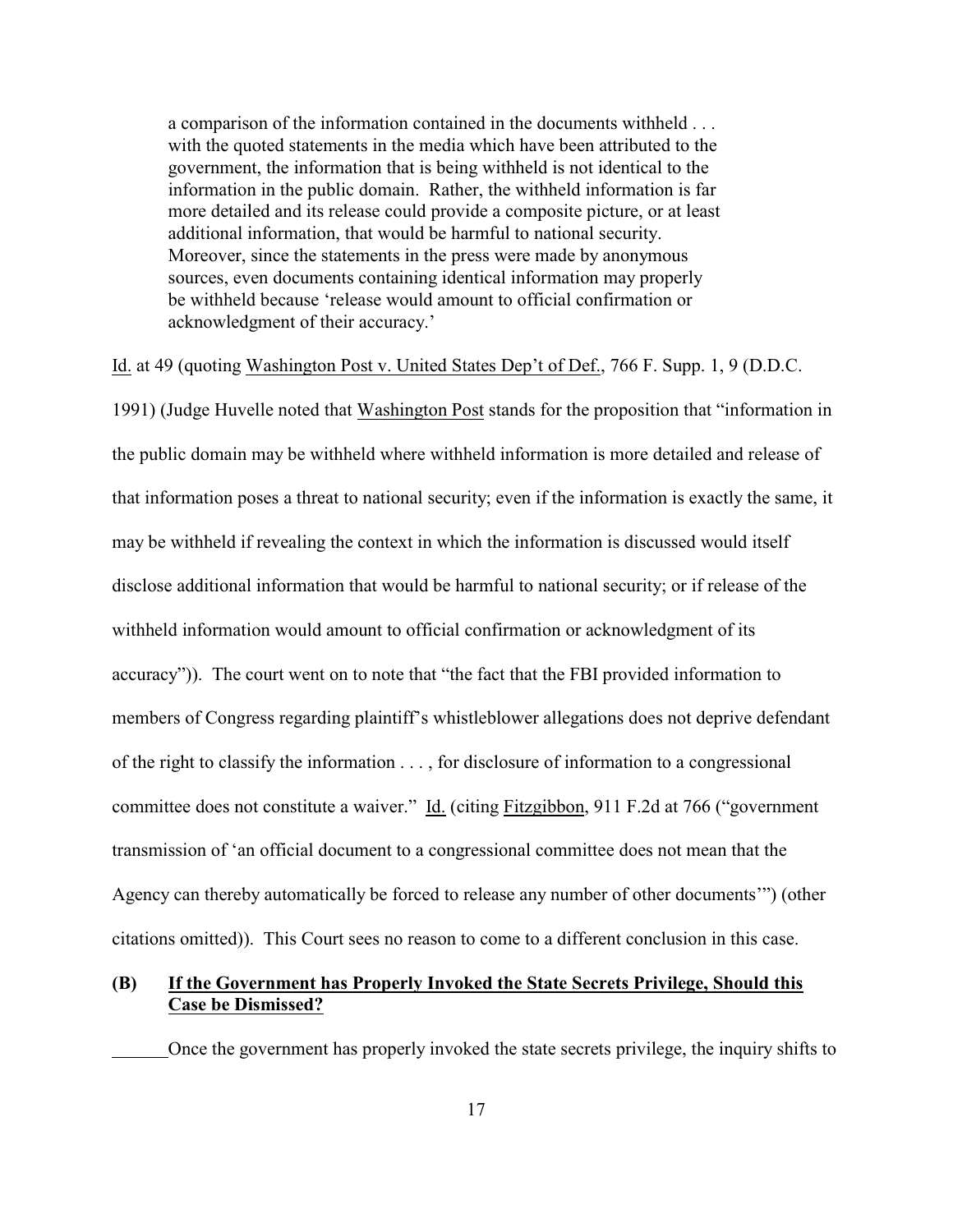a comparison of the information contained in the documents withheld . . . with the quoted statements in the media which have been attributed to the government, the information that is being withheld is not identical to the information in the public domain. Rather, the withheld information is far more detailed and its release could provide a composite picture, or at least additional information, that would be harmful to national security. Moreover, since the statements in the press were made by anonymous sources, even documents containing identical information may properly be withheld because 'release would amount to official confirmation or acknowledgment of their accuracy.'

Id. at 49 (quoting Washington Post v. United States Dep't of Def., 766 F. Supp. 1, 9 (D.D.C.

1991) (Judge Huvelle noted that Washington Post stands for the proposition that "information in the public domain may be withheld where withheld information is more detailed and release of that information poses a threat to national security; even if the information is exactly the same, it may be withheld if revealing the context in which the information is discussed would itself disclose additional information that would be harmful to national security; or if release of the withheld information would amount to official confirmation or acknowledgment of its accuracy")). The court went on to note that "the fact that the FBI provided information to members of Congress regarding plaintiff's whistleblower allegations does not deprive defendant of the right to classify the information . . . , for disclosure of information to a congressional committee does not constitute a waiver." Id. (citing Fitzgibbon, 911 F.2d at 766 ("government transmission of 'an official document to a congressional committee does not mean that the Agency can thereby automatically be forced to release any number of other documents'") (other citations omitted)). This Court sees no reason to come to a different conclusion in this case.

# **(B) If the Government has Properly Invoked the State Secrets Privilege, Should this Case be Dismissed?**

Once the government has properly invoked the state secrets privilege, the inquiry shifts to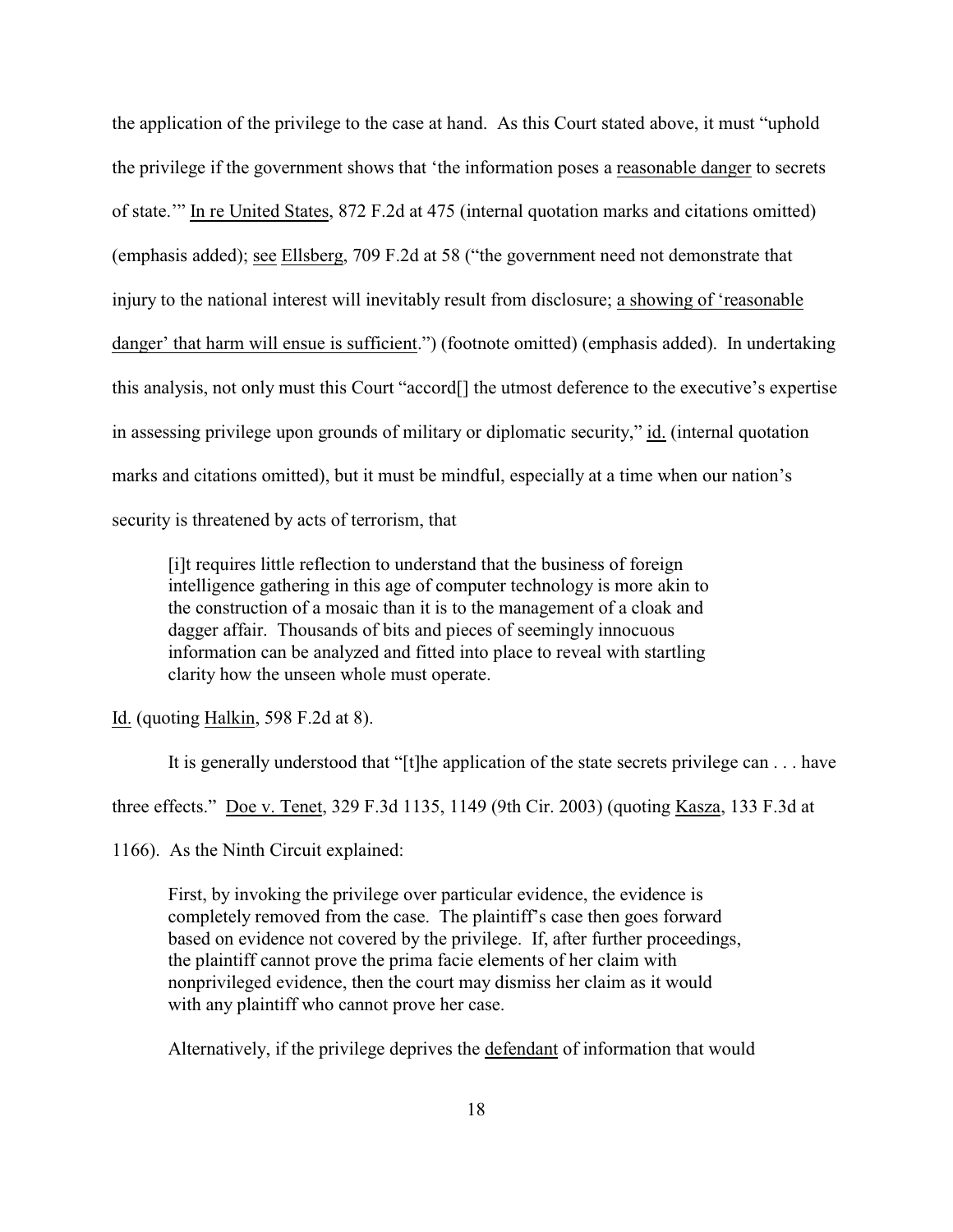the application of the privilege to the case at hand. As this Court stated above, it must "uphold the privilege if the government shows that 'the information poses a reasonable danger to secrets of state.'" In re United States, 872 F.2d at 475 (internal quotation marks and citations omitted) (emphasis added); see Ellsberg, 709 F.2d at 58 ("the government need not demonstrate that injury to the national interest will inevitably result from disclosure; a showing of 'reasonable danger' that harm will ensue is sufficient.") (footnote omitted) (emphasis added). In undertaking this analysis, not only must this Court "accord[] the utmost deference to the executive's expertise in assessing privilege upon grounds of military or diplomatic security," id. (internal quotation marks and citations omitted), but it must be mindful, especially at a time when our nation's security is threatened by acts of terrorism, that

[i]t requires little reflection to understand that the business of foreign intelligence gathering in this age of computer technology is more akin to the construction of a mosaic than it is to the management of a cloak and dagger affair. Thousands of bits and pieces of seemingly innocuous information can be analyzed and fitted into place to reveal with startling clarity how the unseen whole must operate.

Id. (quoting Halkin, 598 F.2d at 8).

It is generally understood that "[t]he application of the state secrets privilege can . . . have

three effects." Doe v. Tenet, 329 F.3d 1135, 1149 (9th Cir. 2003) (quoting Kasza, 133 F.3d at

1166). As the Ninth Circuit explained:

First, by invoking the privilege over particular evidence, the evidence is completely removed from the case. The plaintiff's case then goes forward based on evidence not covered by the privilege. If, after further proceedings, the plaintiff cannot prove the prima facie elements of her claim with nonprivileged evidence, then the court may dismiss her claim as it would with any plaintiff who cannot prove her case.

Alternatively, if the privilege deprives the defendant of information that would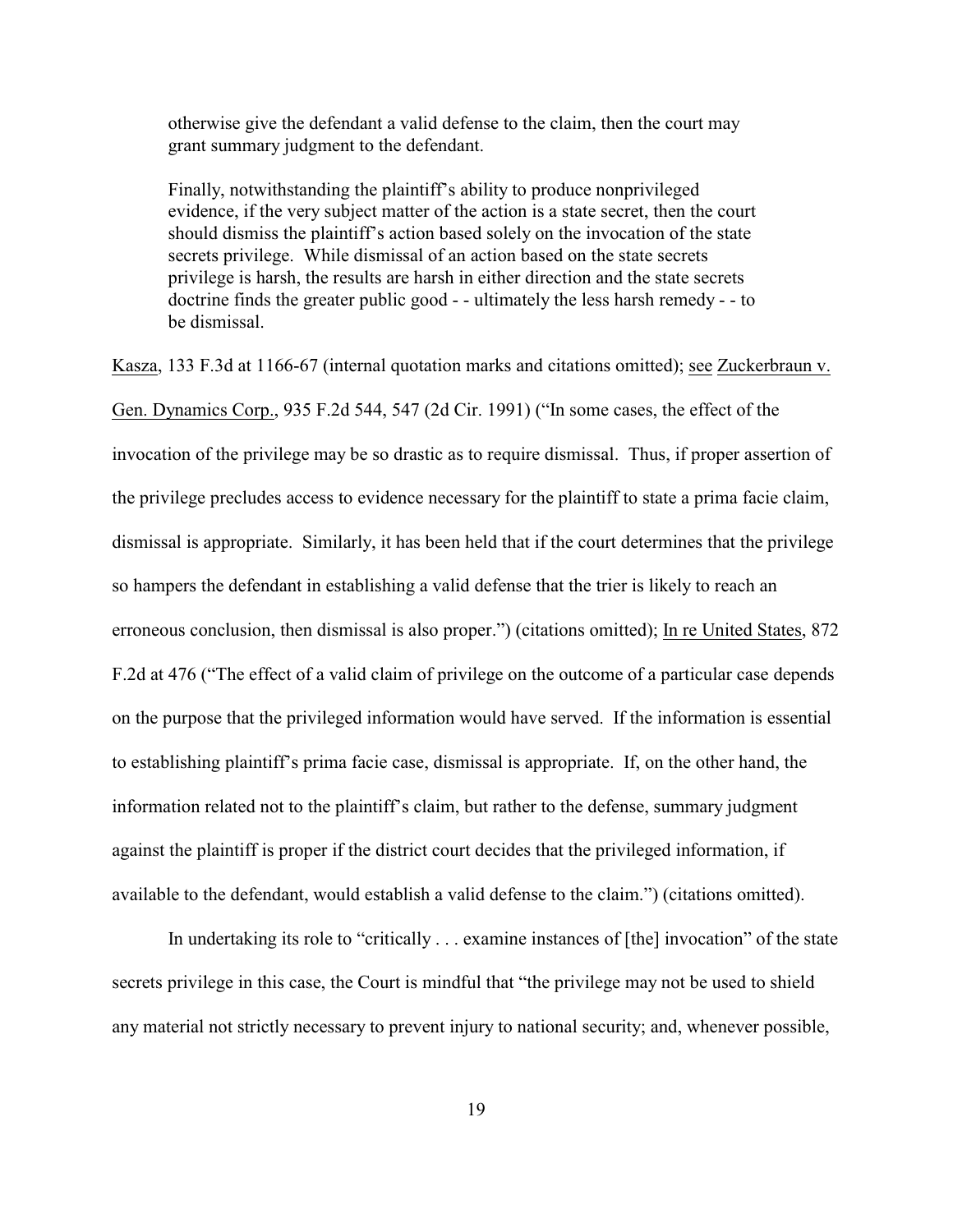otherwise give the defendant a valid defense to the claim, then the court may grant summary judgment to the defendant.

Finally, notwithstanding the plaintiff's ability to produce nonprivileged evidence, if the very subject matter of the action is a state secret, then the court should dismiss the plaintiff's action based solely on the invocation of the state secrets privilege. While dismissal of an action based on the state secrets privilege is harsh, the results are harsh in either direction and the state secrets doctrine finds the greater public good - - ultimately the less harsh remedy - - to be dismissal.

Kasza, 133 F.3d at 1166-67 (internal quotation marks and citations omitted); see Zuckerbraun v. Gen. Dynamics Corp., 935 F.2d 544, 547 (2d Cir. 1991) ("In some cases, the effect of the invocation of the privilege may be so drastic as to require dismissal. Thus, if proper assertion of the privilege precludes access to evidence necessary for the plaintiff to state a prima facie claim, dismissal is appropriate. Similarly, it has been held that if the court determines that the privilege so hampers the defendant in establishing a valid defense that the trier is likely to reach an erroneous conclusion, then dismissal is also proper.") (citations omitted); In re United States, 872 F.2d at 476 ("The effect of a valid claim of privilege on the outcome of a particular case depends on the purpose that the privileged information would have served. If the information is essential to establishing plaintiff's prima facie case, dismissal is appropriate. If, on the other hand, the information related not to the plaintiff's claim, but rather to the defense, summary judgment against the plaintiff is proper if the district court decides that the privileged information, if available to the defendant, would establish a valid defense to the claim.") (citations omitted).

In undertaking its role to "critically . . . examine instances of [the] invocation" of the state secrets privilege in this case, the Court is mindful that "the privilege may not be used to shield any material not strictly necessary to prevent injury to national security; and, whenever possible,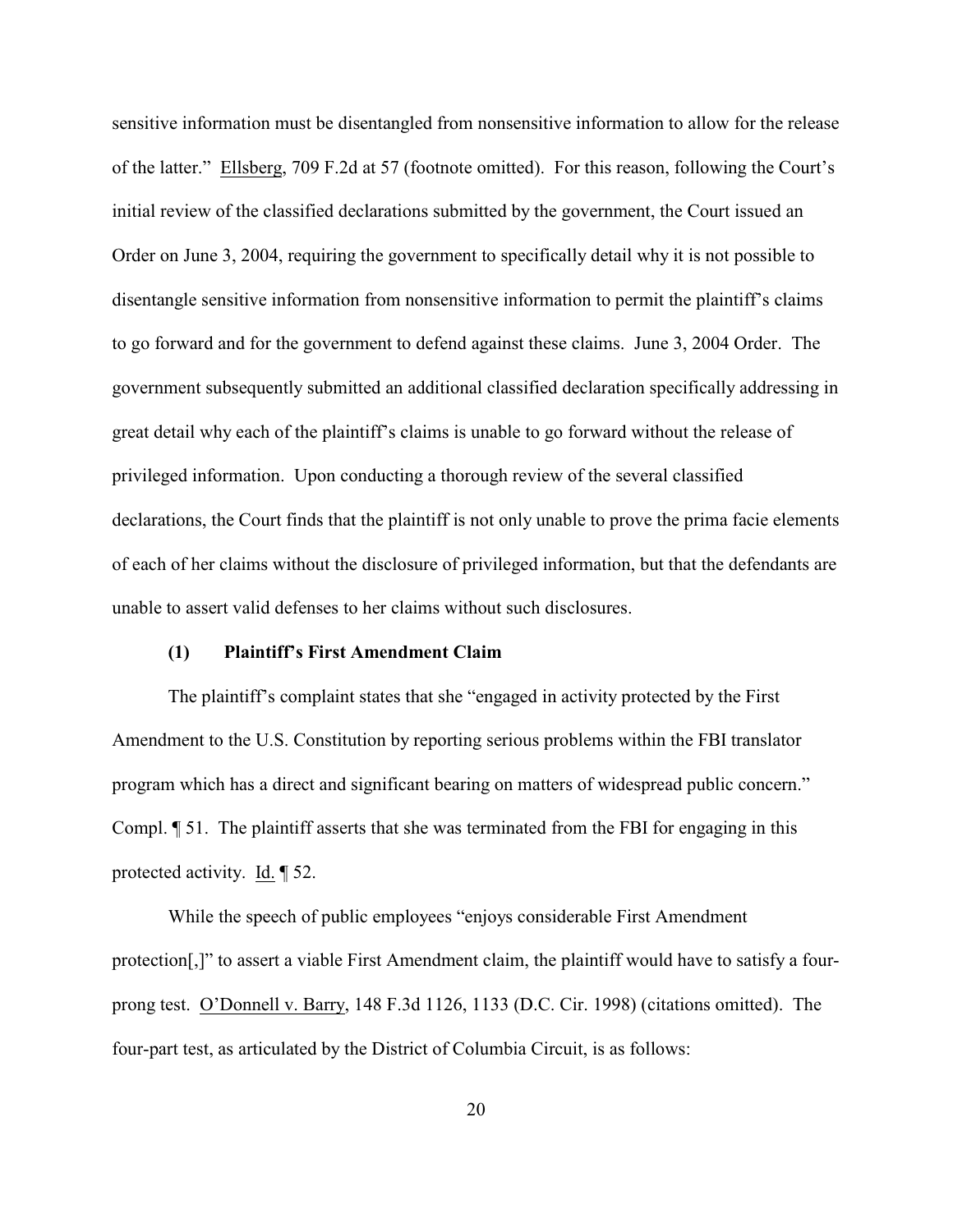sensitive information must be disentangled from nonsensitive information to allow for the release of the latter." Ellsberg, 709 F.2d at 57 (footnote omitted). For this reason, following the Court's initial review of the classified declarations submitted by the government, the Court issued an Order on June 3, 2004, requiring the government to specifically detail why it is not possible to disentangle sensitive information from nonsensitive information to permit the plaintiff's claims to go forward and for the government to defend against these claims. June 3, 2004 Order. The government subsequently submitted an additional classified declaration specifically addressing in great detail why each of the plaintiff's claims is unable to go forward without the release of privileged information. Upon conducting a thorough review of the several classified declarations, the Court finds that the plaintiff is not only unable to prove the prima facie elements of each of her claims without the disclosure of privileged information, but that the defendants are unable to assert valid defenses to her claims without such disclosures.

### **(1) Plaintiff's First Amendment Claim**

The plaintiff's complaint states that she "engaged in activity protected by the First Amendment to the U.S. Constitution by reporting serious problems within the FBI translator program which has a direct and significant bearing on matters of widespread public concern." Compl. ¶ 51. The plaintiff asserts that she was terminated from the FBI for engaging in this protected activity. Id. ¶ 52.

While the speech of public employees "enjoys considerable First Amendment protection[,]" to assert a viable First Amendment claim, the plaintiff would have to satisfy a fourprong test. O'Donnell v. Barry, 148 F.3d 1126, 1133 (D.C. Cir. 1998) (citations omitted). The four-part test, as articulated by the District of Columbia Circuit, is as follows: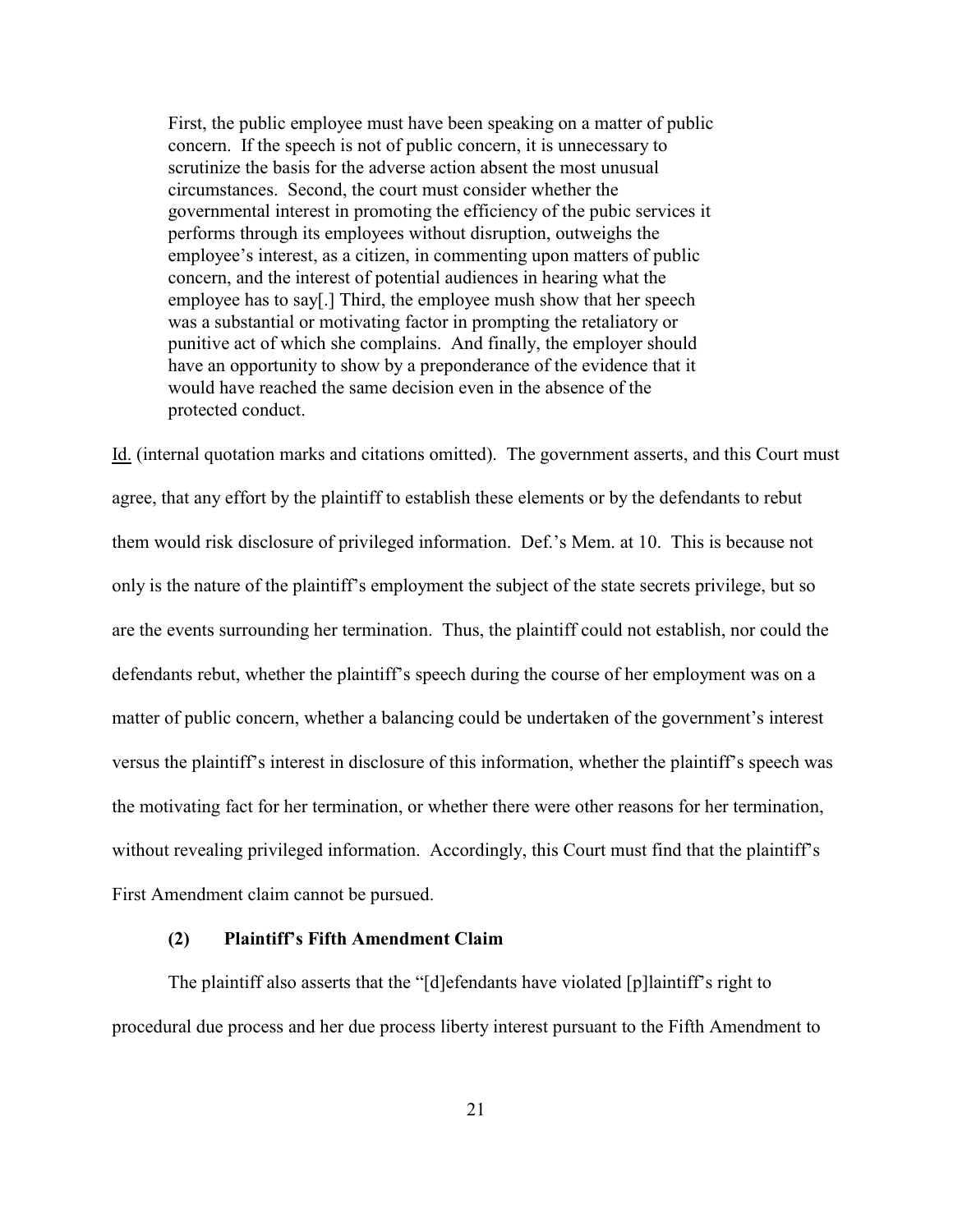First, the public employee must have been speaking on a matter of public concern. If the speech is not of public concern, it is unnecessary to scrutinize the basis for the adverse action absent the most unusual circumstances. Second, the court must consider whether the governmental interest in promoting the efficiency of the pubic services it performs through its employees without disruption, outweighs the employee's interest, as a citizen, in commenting upon matters of public concern, and the interest of potential audiences in hearing what the employee has to say[.] Third, the employee mush show that her speech was a substantial or motivating factor in prompting the retaliatory or punitive act of which she complains. And finally, the employer should have an opportunity to show by a preponderance of the evidence that it would have reached the same decision even in the absence of the protected conduct.

Id. (internal quotation marks and citations omitted). The government asserts, and this Court must agree, that any effort by the plaintiff to establish these elements or by the defendants to rebut them would risk disclosure of privileged information. Def.'s Mem. at 10. This is because not only is the nature of the plaintiff's employment the subject of the state secrets privilege, but so are the events surrounding her termination. Thus, the plaintiff could not establish, nor could the defendants rebut, whether the plaintiff's speech during the course of her employment was on a matter of public concern, whether a balancing could be undertaken of the government's interest versus the plaintiff's interest in disclosure of this information, whether the plaintiff's speech was the motivating fact for her termination, or whether there were other reasons for her termination, without revealing privileged information. Accordingly, this Court must find that the plaintiff's First Amendment claim cannot be pursued.

## **(2) Plaintiff's Fifth Amendment Claim**

The plaintiff also asserts that the "[d]efendants have violated [p]laintiff's right to procedural due process and her due process liberty interest pursuant to the Fifth Amendment to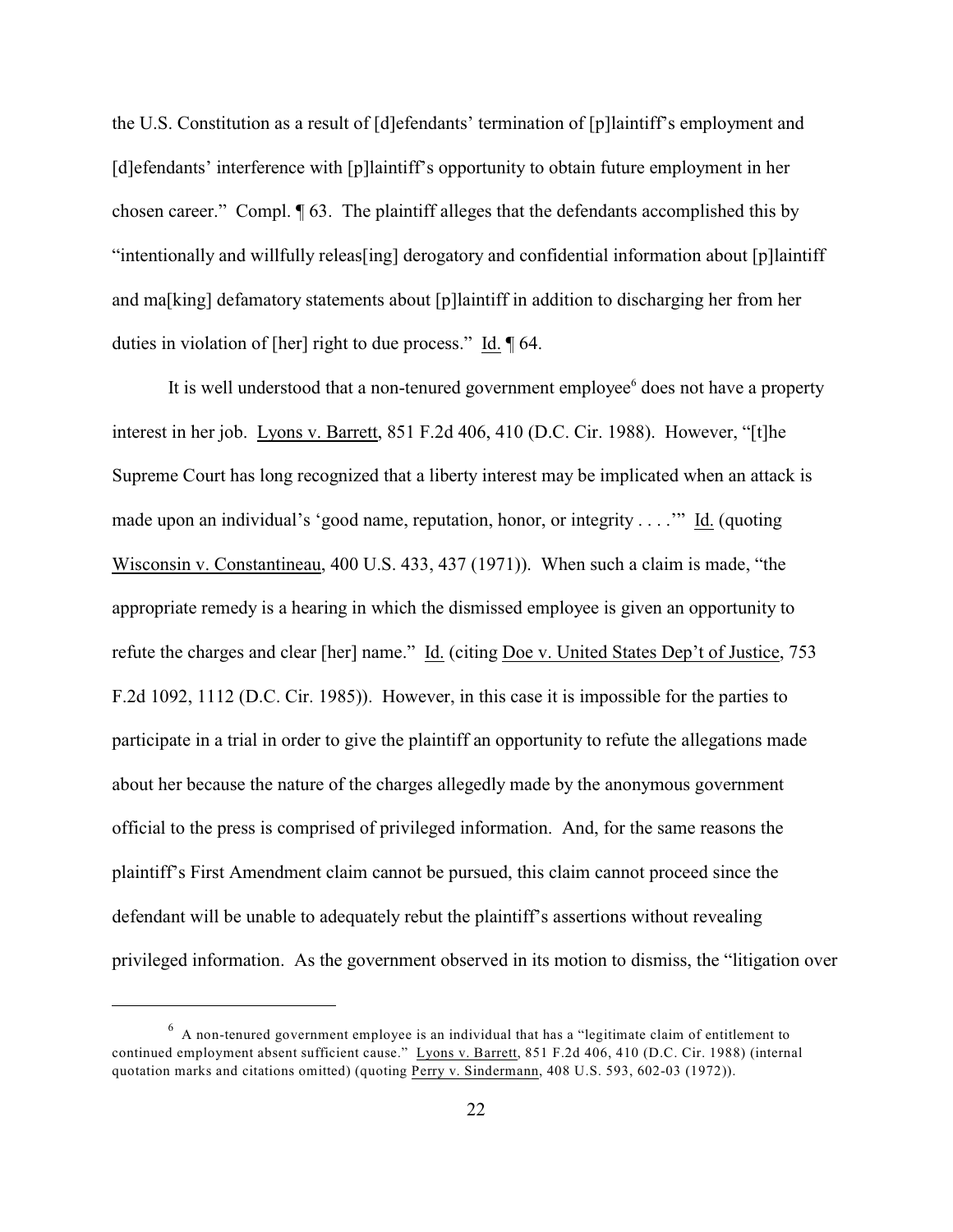the U.S. Constitution as a result of [d]efendants' termination of [p]laintiff's employment and [d]efendants' interference with [p]laintiff's opportunity to obtain future employment in her chosen career." Compl. ¶ 63. The plaintiff alleges that the defendants accomplished this by "intentionally and willfully releas[ing] derogatory and confidential information about [p]laintiff and ma[king] defamatory statements about [p]laintiff in addition to discharging her from her duties in violation of [her] right to due process." Id. ¶ 64.

It is well understood that a non-tenured government employee<sup>6</sup> does not have a property interest in her job. Lyons v. Barrett, 851 F.2d 406, 410 (D.C. Cir. 1988). However, "[t]he Supreme Court has long recognized that a liberty interest may be implicated when an attack is made upon an individual's 'good name, reputation, honor, or integrity . . . .'" Id. (quoting Wisconsin v. Constantineau, 400 U.S. 433, 437 (1971)). When such a claim is made, "the appropriate remedy is a hearing in which the dismissed employee is given an opportunity to refute the charges and clear [her] name." Id. (citing Doe v. United States Dep't of Justice, 753 F.2d 1092, 1112 (D.C. Cir. 1985)). However, in this case it is impossible for the parties to participate in a trial in order to give the plaintiff an opportunity to refute the allegations made about her because the nature of the charges allegedly made by the anonymous government official to the press is comprised of privileged information. And, for the same reasons the plaintiff's First Amendment claim cannot be pursued, this claim cannot proceed since the defendant will be unable to adequately rebut the plaintiff's assertions without revealing privileged information. As the government observed in its motion to dismiss, the "litigation over

 $6$  A non-tenured government employee is an individual that has a "legitimate claim of entitlement to continued employment absent sufficient cause." Lyons v. Barrett, 851 F.2d 406, 410 (D.C. Cir. 1988) (internal quotation marks and citations omitted) (quoting Perry v. Sindermann, 408 U.S. 593, 602-03 (1972)).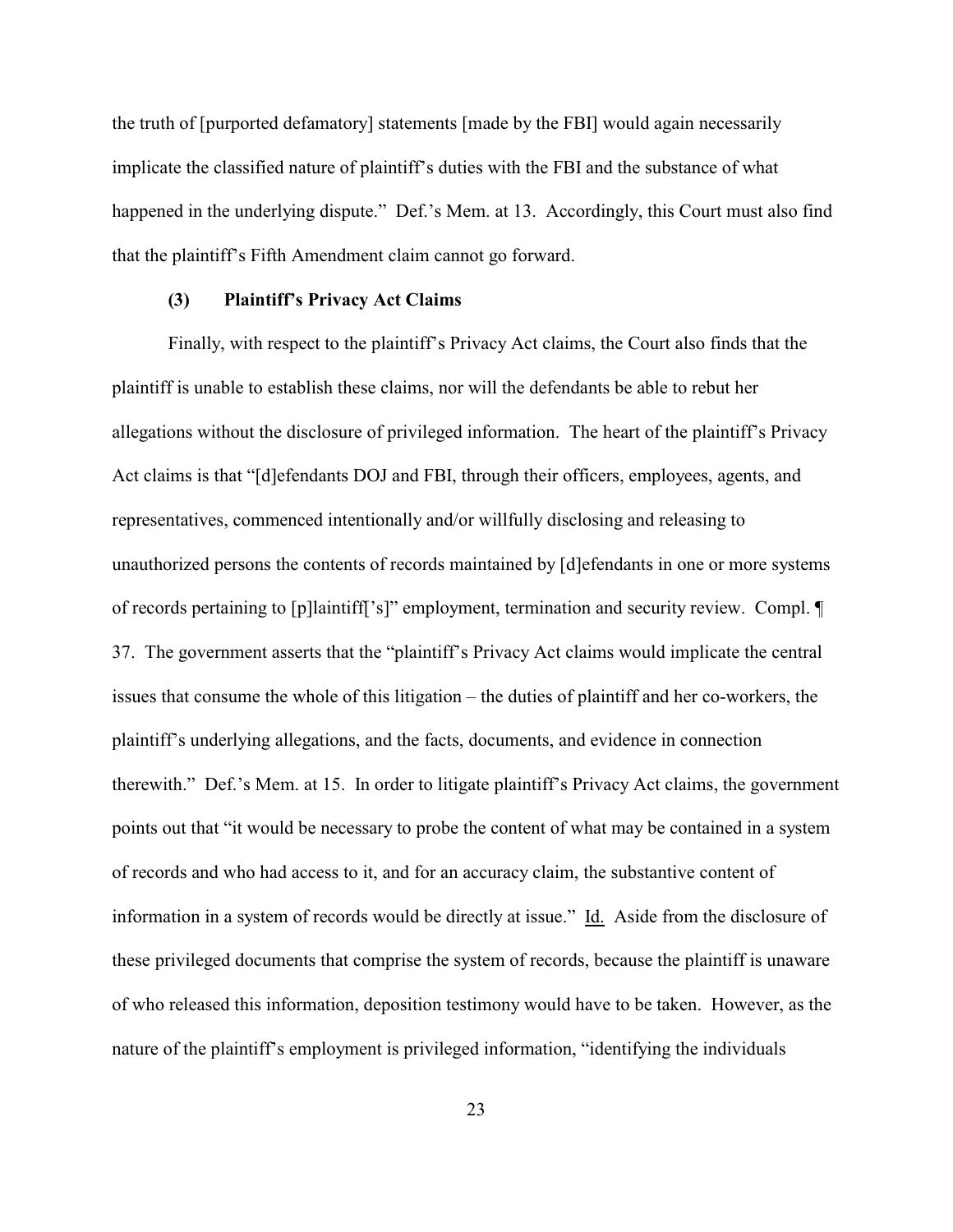the truth of [purported defamatory] statements [made by the FBI] would again necessarily implicate the classified nature of plaintiff's duties with the FBI and the substance of what happened in the underlying dispute." Def.'s Mem. at 13. Accordingly, this Court must also find that the plaintiff's Fifth Amendment claim cannot go forward.

#### **(3) Plaintiff's Privacy Act Claims**

Finally, with respect to the plaintiff's Privacy Act claims, the Court also finds that the plaintiff is unable to establish these claims, nor will the defendants be able to rebut her allegations without the disclosure of privileged information. The heart of the plaintiff's Privacy Act claims is that "[d]efendants DOJ and FBI, through their officers, employees, agents, and representatives, commenced intentionally and/or willfully disclosing and releasing to unauthorized persons the contents of records maintained by [d]efendants in one or more systems of records pertaining to [p]laintiff['s]" employment, termination and security review. Compl. ¶ 37. The government asserts that the "plaintiff's Privacy Act claims would implicate the central issues that consume the whole of this litigation – the duties of plaintiff and her co-workers, the plaintiff's underlying allegations, and the facts, documents, and evidence in connection therewith." Def.'s Mem. at 15. In order to litigate plaintiff's Privacy Act claims, the government points out that "it would be necessary to probe the content of what may be contained in a system of records and who had access to it, and for an accuracy claim, the substantive content of information in a system of records would be directly at issue." Id. Aside from the disclosure of these privileged documents that comprise the system of records, because the plaintiff is unaware of who released this information, deposition testimony would have to be taken. However, as the nature of the plaintiff's employment is privileged information, "identifying the individuals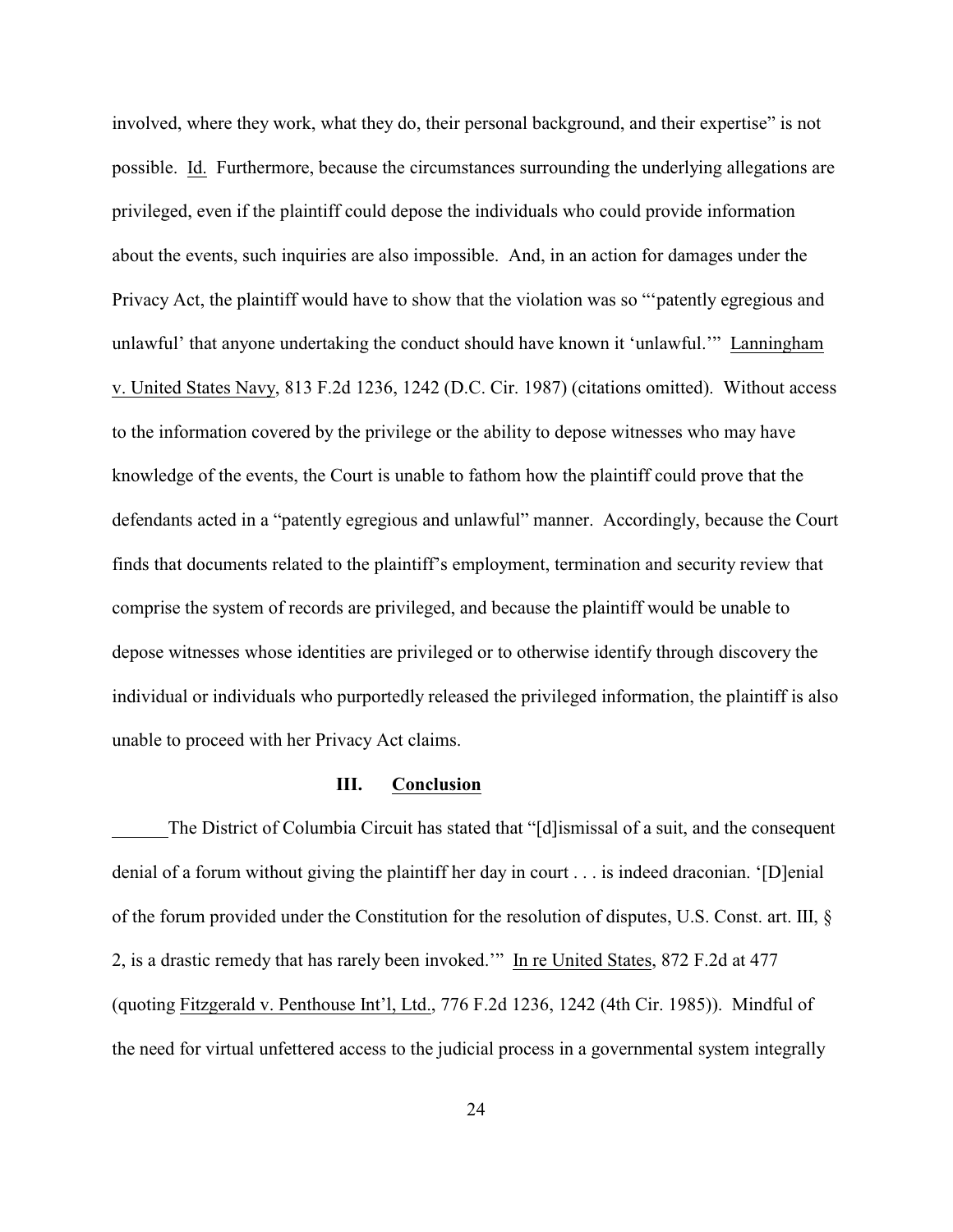involved, where they work, what they do, their personal background, and their expertise" is not possible. Id. Furthermore, because the circumstances surrounding the underlying allegations are privileged, even if the plaintiff could depose the individuals who could provide information about the events, such inquiries are also impossible. And, in an action for damages under the Privacy Act, the plaintiff would have to show that the violation was so "'patently egregious and unlawful' that anyone undertaking the conduct should have known it 'unlawful.'" Lanningham v. United States Navy, 813 F.2d 1236, 1242 (D.C. Cir. 1987) (citations omitted). Without access to the information covered by the privilege or the ability to depose witnesses who may have knowledge of the events, the Court is unable to fathom how the plaintiff could prove that the defendants acted in a "patently egregious and unlawful" manner. Accordingly, because the Court finds that documents related to the plaintiff's employment, termination and security review that comprise the system of records are privileged, and because the plaintiff would be unable to depose witnesses whose identities are privileged or to otherwise identify through discovery the individual or individuals who purportedly released the privileged information, the plaintiff is also unable to proceed with her Privacy Act claims.

### **III. Conclusion**

The District of Columbia Circuit has stated that "[d]ismissal of a suit, and the consequent denial of a forum without giving the plaintiff her day in court . . . is indeed draconian. '[D]enial of the forum provided under the Constitution for the resolution of disputes, U.S. Const. art. III, § 2, is a drastic remedy that has rarely been invoked.'" In re United States, 872 F.2d at 477 (quoting Fitzgerald v. Penthouse Int'l, Ltd., 776 F.2d 1236, 1242 (4th Cir. 1985)). Mindful of the need for virtual unfettered access to the judicial process in a governmental system integrally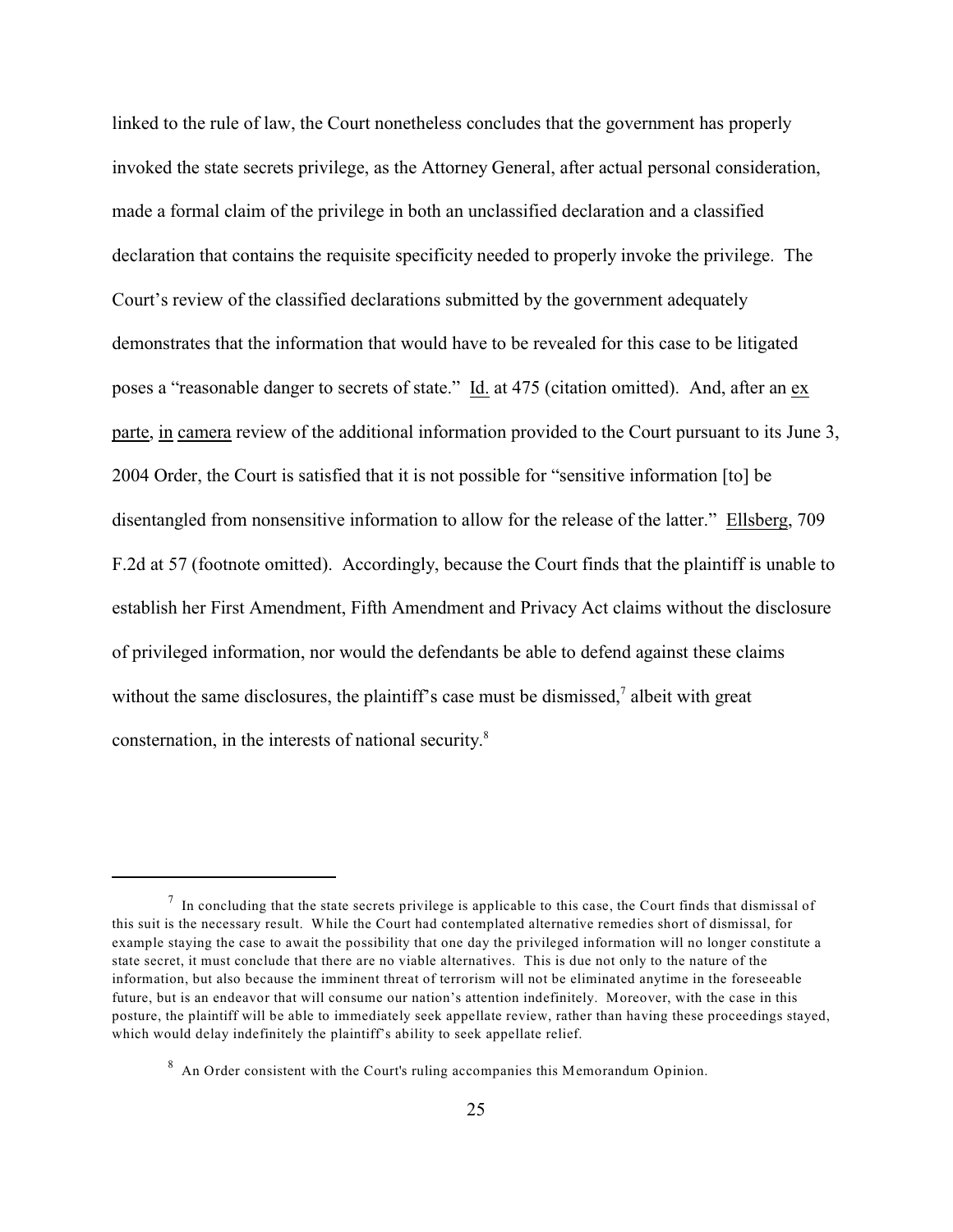linked to the rule of law, the Court nonetheless concludes that the government has properly invoked the state secrets privilege, as the Attorney General, after actual personal consideration, made a formal claim of the privilege in both an unclassified declaration and a classified declaration that contains the requisite specificity needed to properly invoke the privilege. The Court's review of the classified declarations submitted by the government adequately demonstrates that the information that would have to be revealed for this case to be litigated poses a "reasonable danger to secrets of state." Id. at 475 (citation omitted). And, after an ex parte, in camera review of the additional information provided to the Court pursuant to its June 3, 2004 Order, the Court is satisfied that it is not possible for "sensitive information [to] be disentangled from nonsensitive information to allow for the release of the latter." Ellsberg, 709 F.2d at 57 (footnote omitted). Accordingly, because the Court finds that the plaintiff is unable to establish her First Amendment, Fifth Amendment and Privacy Act claims without the disclosure of privileged information, nor would the defendants be able to defend against these claims without the same disclosures, the plaintiff's case must be dismissed, $\alpha$  albeit with great consternation, in the interests of national security.8

 $\frac{7}{1}$  In concluding that the state secrets privilege is applicable to this case, the Court finds that dismissal of this suit is the necessary result. While the Court had contemplated alternative remedies short of dismissal, for example staying the case to await the possibility that one day the privileged information will no longer constitute a state secret, it must conclude that there are no viable alternatives. This is due not only to the nature of the information, but also because the imminent threat of terrorism will not be eliminated anytime in the foreseeable future, but is an endeavor that will consume our nation's attention indefinitely. Moreover, with the case in this posture, the plaintiff will be able to immediately seek appellate review, rather than having these proceedings stayed, which would delay indefinitely the plaintiff's ability to seek appellate relief.

 $8$  An Order consistent with the Court's ruling accompanies this Memorandum Opinion.